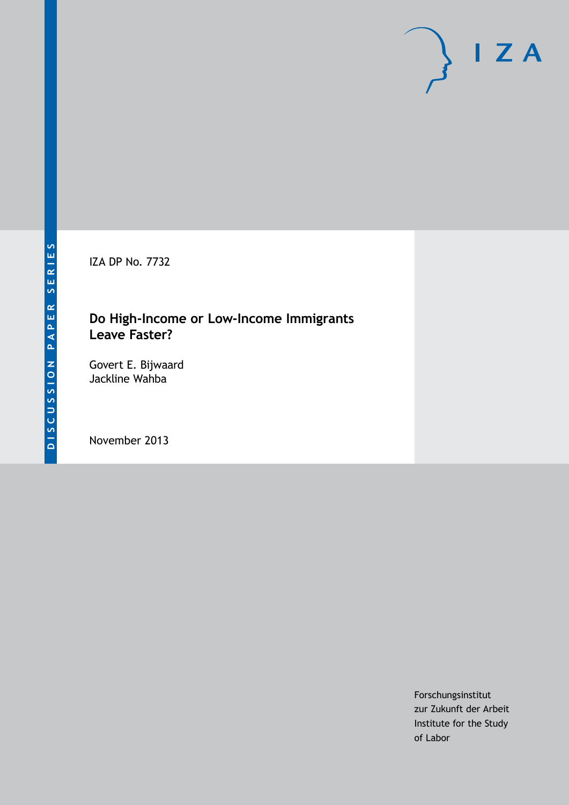IZA DP No. 7732

# **Do High-Income or Low-Income Immigrants Leave Faster?**

Govert E. Bijwaard Jackline Wahba

November 2013

Forschungsinstitut zur Zukunft der Arbeit Institute for the Study of Labor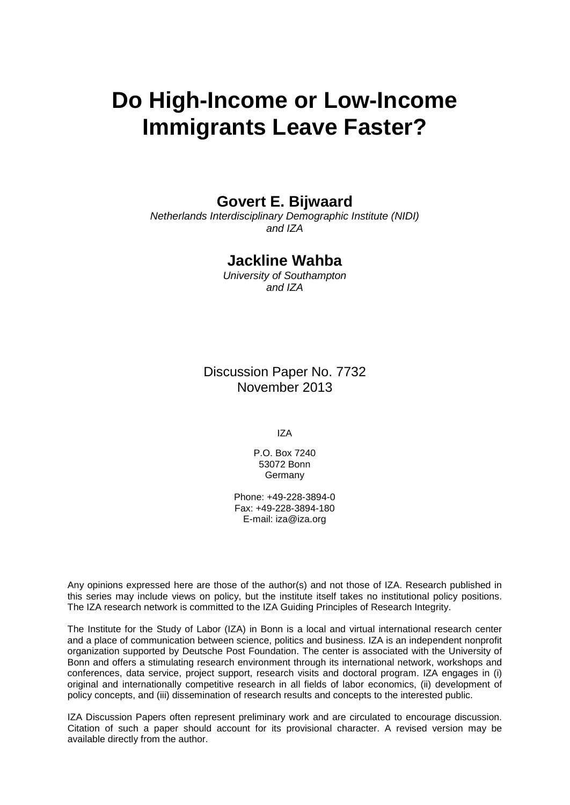# **Do High-Income or Low-Income Immigrants Leave Faster?**

# **Govert E. Bijwaard**

*Netherlands Interdisciplinary Demographic Institute (NIDI) and IZA*

# **Jackline Wahba**

*University of Southampton and IZA*

Discussion Paper No. 7732 November 2013

IZA

P.O. Box 7240 53072 Bonn **Germany** 

Phone: +49-228-3894-0 Fax: +49-228-3894-180 E-mail: [iza@iza.org](mailto:iza@iza.org)

Any opinions expressed here are those of the author(s) and not those of IZA. Research published in this series may include views on policy, but the institute itself takes no institutional policy positions. The IZA research network is committed to the IZA Guiding Principles of Research Integrity.

The Institute for the Study of Labor (IZA) in Bonn is a local and virtual international research center and a place of communication between science, politics and business. IZA is an independent nonprofit organization supported by Deutsche Post Foundation. The center is associated with the University of Bonn and offers a stimulating research environment through its international network, workshops and conferences, data service, project support, research visits and doctoral program. IZA engages in (i) original and internationally competitive research in all fields of labor economics, (ii) development of policy concepts, and (iii) dissemination of research results and concepts to the interested public.

<span id="page-1-0"></span>IZA Discussion Papers often represent preliminary work and are circulated to encourage discussion. Citation of such a paper should account for its provisional character. A revised version may be available directly from the author.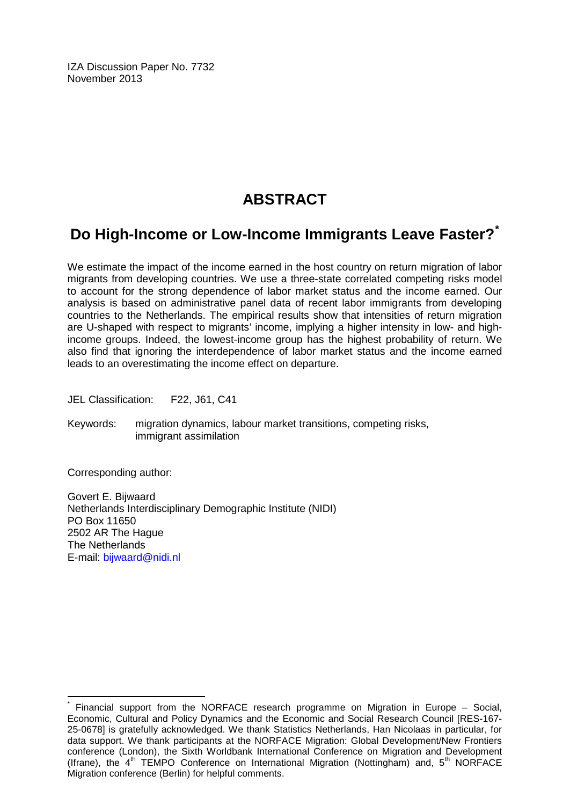IZA Discussion Paper No. 7732 November 2013

# **ABSTRACT**

# **Do High-Income or Low-Income Immigrants Leave Faster?[\\*](#page-1-0)**

We estimate the impact of the income earned in the host country on return migration of labor migrants from developing countries. We use a three-state correlated competing risks model to account for the strong dependence of labor market status and the income earned. Our analysis is based on administrative panel data of recent labor immigrants from developing countries to the Netherlands. The empirical results show that intensities of return migration are U-shaped with respect to migrants' income, implying a higher intensity in low- and highincome groups. Indeed, the lowest-income group has the highest probability of return. We also find that ignoring the interdependence of labor market status and the income earned leads to an overestimating the income effect on departure.

JEL Classification: F22, J61, C41

Keywords: migration dynamics, labour market transitions, competing risks, immigrant assimilation

Corresponding author:

Govert E. Bijwaard Netherlands Interdisciplinary Demographic Institute (NIDI) PO Box 11650 2502 AR The Hague The Netherlands E-mail: [bijwaard@nidi.nl](mailto:bijwaard@nidi.nl)

Financial support from the NORFACE research programme on Migration in Europe – Social, Economic, Cultural and Policy Dynamics and the Economic and Social Research Council [RES-167- 25-0678] is gratefully acknowledged. We thank Statistics Netherlands, Han Nicolaas in particular, for data support. We thank participants at the NORFACE Migration: Global Development/New Frontiers conference (London), the Sixth Worldbank International Conference on Migration and Development (Ifrane), the  $4<sup>th</sup>$  TEMPO Conference on International Migration (Nottingham) and,  $5<sup>th</sup>$  NORFACE Migration conference (Berlin) for helpful comments.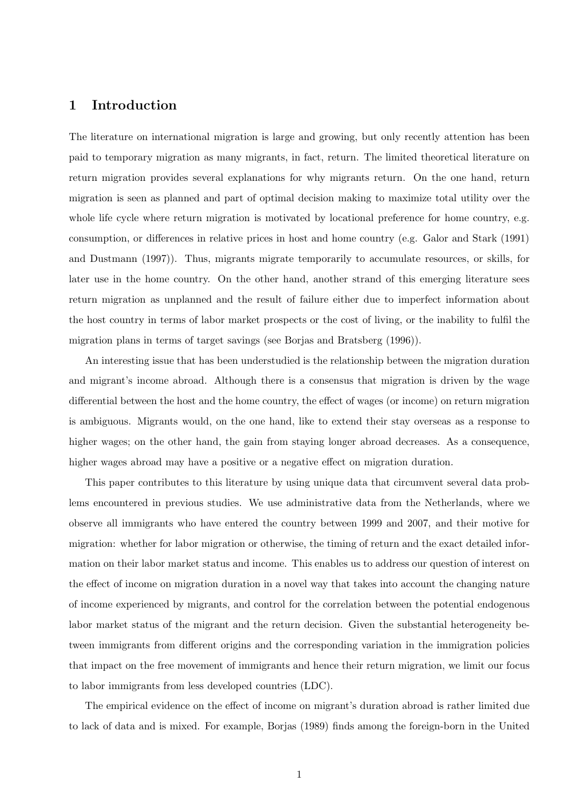## 1 Introduction

The literature on international migration is large and growing, but only recently attention has been paid to temporary migration as many migrants, in fact, return. The limited theoretical literature on return migration provides several explanations for why migrants return. On the one hand, return migration is seen as planned and part of optimal decision making to maximize total utility over the whole life cycle where return migration is motivated by locational preference for home country, e.g. consumption, or differences in relative prices in host and home country (e.g. Galor and Stark (1991) and Dustmann (1997)). Thus, migrants migrate temporarily to accumulate resources, or skills, for later use in the home country. On the other hand, another strand of this emerging literature sees return migration as unplanned and the result of failure either due to imperfect information about the host country in terms of labor market prospects or the cost of living, or the inability to fulfil the migration plans in terms of target savings (see Borjas and Bratsberg (1996)).

An interesting issue that has been understudied is the relationship between the migration duration and migrant's income abroad. Although there is a consensus that migration is driven by the wage differential between the host and the home country, the effect of wages (or income) on return migration is ambiguous. Migrants would, on the one hand, like to extend their stay overseas as a response to higher wages; on the other hand, the gain from staying longer abroad decreases. As a consequence, higher wages abroad may have a positive or a negative effect on migration duration.

This paper contributes to this literature by using unique data that circumvent several data problems encountered in previous studies. We use administrative data from the Netherlands, where we observe all immigrants who have entered the country between 1999 and 2007, and their motive for migration: whether for labor migration or otherwise, the timing of return and the exact detailed information on their labor market status and income. This enables us to address our question of interest on the effect of income on migration duration in a novel way that takes into account the changing nature of income experienced by migrants, and control for the correlation between the potential endogenous labor market status of the migrant and the return decision. Given the substantial heterogeneity between immigrants from different origins and the corresponding variation in the immigration policies that impact on the free movement of immigrants and hence their return migration, we limit our focus to labor immigrants from less developed countries (LDC).

The empirical evidence on the effect of income on migrant's duration abroad is rather limited due to lack of data and is mixed. For example, Borjas (1989) finds among the foreign-born in the United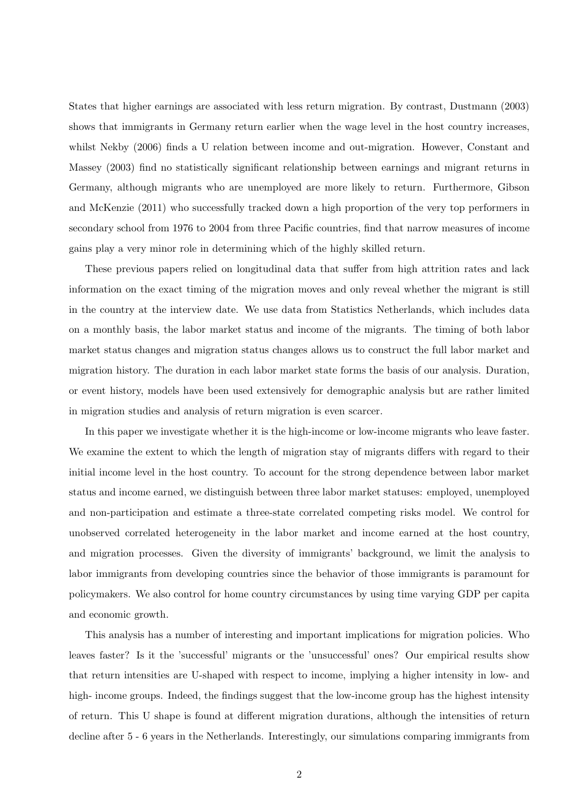States that higher earnings are associated with less return migration. By contrast, Dustmann (2003) shows that immigrants in Germany return earlier when the wage level in the host country increases, whilst Nekby (2006) finds a U relation between income and out-migration. However, Constant and Massey (2003) find no statistically significant relationship between earnings and migrant returns in Germany, although migrants who are unemployed are more likely to return. Furthermore, Gibson and McKenzie (2011) who successfully tracked down a high proportion of the very top performers in secondary school from 1976 to 2004 from three Pacific countries, find that narrow measures of income gains play a very minor role in determining which of the highly skilled return.

These previous papers relied on longitudinal data that suffer from high attrition rates and lack information on the exact timing of the migration moves and only reveal whether the migrant is still in the country at the interview date. We use data from Statistics Netherlands, which includes data on a monthly basis, the labor market status and income of the migrants. The timing of both labor market status changes and migration status changes allows us to construct the full labor market and migration history. The duration in each labor market state forms the basis of our analysis. Duration, or event history, models have been used extensively for demographic analysis but are rather limited in migration studies and analysis of return migration is even scarcer.

In this paper we investigate whether it is the high-income or low-income migrants who leave faster. We examine the extent to which the length of migration stay of migrants differs with regard to their initial income level in the host country. To account for the strong dependence between labor market status and income earned, we distinguish between three labor market statuses: employed, unemployed and non-participation and estimate a three-state correlated competing risks model. We control for unobserved correlated heterogeneity in the labor market and income earned at the host country, and migration processes. Given the diversity of immigrants' background, we limit the analysis to labor immigrants from developing countries since the behavior of those immigrants is paramount for policymakers. We also control for home country circumstances by using time varying GDP per capita and economic growth.

This analysis has a number of interesting and important implications for migration policies. Who leaves faster? Is it the 'successful' migrants or the 'unsuccessful' ones? Our empirical results show that return intensities are U-shaped with respect to income, implying a higher intensity in low- and high- income groups. Indeed, the findings suggest that the low-income group has the highest intensity of return. This U shape is found at different migration durations, although the intensities of return decline after 5 - 6 years in the Netherlands. Interestingly, our simulations comparing immigrants from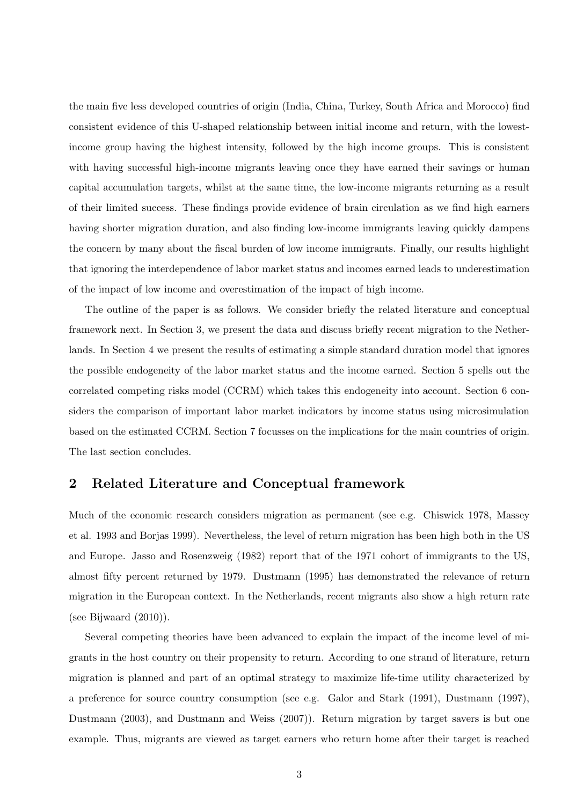the main five less developed countries of origin (India, China, Turkey, South Africa and Morocco) find consistent evidence of this U-shaped relationship between initial income and return, with the lowestincome group having the highest intensity, followed by the high income groups. This is consistent with having successful high-income migrants leaving once they have earned their savings or human capital accumulation targets, whilst at the same time, the low-income migrants returning as a result of their limited success. These findings provide evidence of brain circulation as we find high earners having shorter migration duration, and also finding low-income immigrants leaving quickly dampens the concern by many about the fiscal burden of low income immigrants. Finally, our results highlight that ignoring the interdependence of labor market status and incomes earned leads to underestimation of the impact of low income and overestimation of the impact of high income.

The outline of the paper is as follows. We consider briefly the related literature and conceptual framework next. In Section 3, we present the data and discuss briefly recent migration to the Netherlands. In Section 4 we present the results of estimating a simple standard duration model that ignores the possible endogeneity of the labor market status and the income earned. Section 5 spells out the correlated competing risks model (CCRM) which takes this endogeneity into account. Section 6 considers the comparison of important labor market indicators by income status using microsimulation based on the estimated CCRM. Section 7 focusses on the implications for the main countries of origin. The last section concludes.

### 2 Related Literature and Conceptual framework

Much of the economic research considers migration as permanent (see e.g. Chiswick 1978, Massey et al. 1993 and Borjas 1999). Nevertheless, the level of return migration has been high both in the US and Europe. Jasso and Rosenzweig (1982) report that of the 1971 cohort of immigrants to the US, almost fifty percent returned by 1979. Dustmann (1995) has demonstrated the relevance of return migration in the European context. In the Netherlands, recent migrants also show a high return rate (see Bijwaard (2010)).

Several competing theories have been advanced to explain the impact of the income level of migrants in the host country on their propensity to return. According to one strand of literature, return migration is planned and part of an optimal strategy to maximize life-time utility characterized by a preference for source country consumption (see e.g. Galor and Stark (1991), Dustmann (1997), Dustmann (2003), and Dustmann and Weiss (2007)). Return migration by target savers is but one example. Thus, migrants are viewed as target earners who return home after their target is reached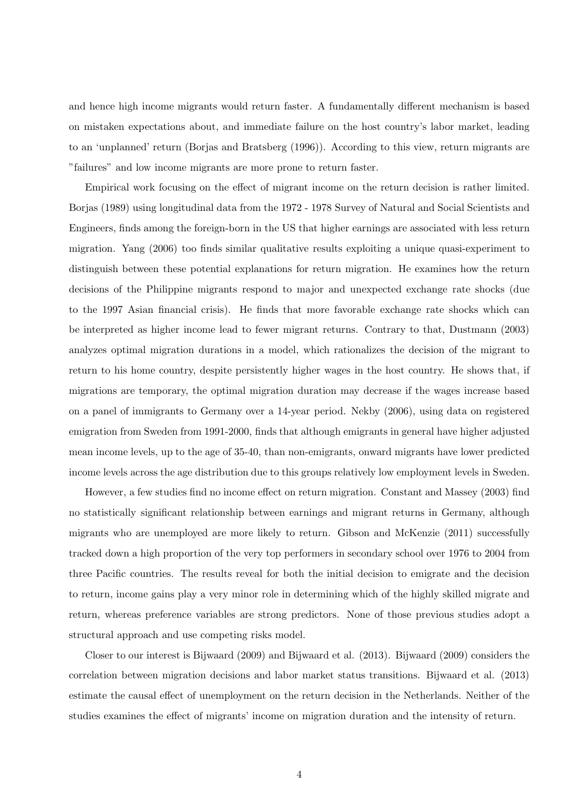and hence high income migrants would return faster. A fundamentally different mechanism is based on mistaken expectations about, and immediate failure on the host country's labor market, leading to an 'unplanned' return (Borjas and Bratsberg (1996)). According to this view, return migrants are "failures" and low income migrants are more prone to return faster.

Empirical work focusing on the effect of migrant income on the return decision is rather limited. Borjas (1989) using longitudinal data from the 1972 - 1978 Survey of Natural and Social Scientists and Engineers, finds among the foreign-born in the US that higher earnings are associated with less return migration. Yang (2006) too finds similar qualitative results exploiting a unique quasi-experiment to distinguish between these potential explanations for return migration. He examines how the return decisions of the Philippine migrants respond to major and unexpected exchange rate shocks (due to the 1997 Asian financial crisis). He finds that more favorable exchange rate shocks which can be interpreted as higher income lead to fewer migrant returns. Contrary to that, Dustmann (2003) analyzes optimal migration durations in a model, which rationalizes the decision of the migrant to return to his home country, despite persistently higher wages in the host country. He shows that, if migrations are temporary, the optimal migration duration may decrease if the wages increase based on a panel of immigrants to Germany over a 14-year period. Nekby (2006), using data on registered emigration from Sweden from 1991-2000, finds that although emigrants in general have higher adjusted mean income levels, up to the age of 35-40, than non-emigrants, onward migrants have lower predicted income levels across the age distribution due to this groups relatively low employment levels in Sweden.

However, a few studies find no income effect on return migration. Constant and Massey (2003) find no statistically significant relationship between earnings and migrant returns in Germany, although migrants who are unemployed are more likely to return. Gibson and McKenzie (2011) successfully tracked down a high proportion of the very top performers in secondary school over 1976 to 2004 from three Pacific countries. The results reveal for both the initial decision to emigrate and the decision to return, income gains play a very minor role in determining which of the highly skilled migrate and return, whereas preference variables are strong predictors. None of those previous studies adopt a structural approach and use competing risks model.

Closer to our interest is Bijwaard (2009) and Bijwaard et al. (2013). Bijwaard (2009) considers the correlation between migration decisions and labor market status transitions. Bijwaard et al. (2013) estimate the causal effect of unemployment on the return decision in the Netherlands. Neither of the studies examines the effect of migrants' income on migration duration and the intensity of return.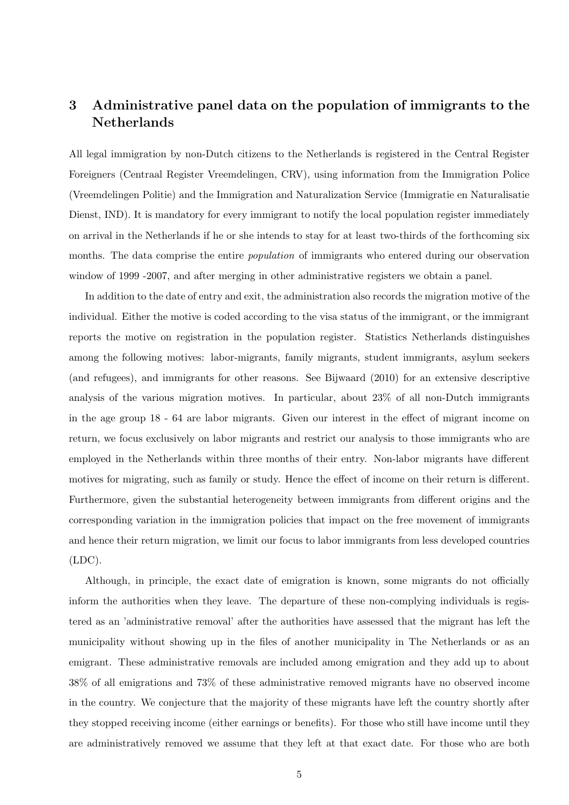# 3 Administrative panel data on the population of immigrants to the **Netherlands**

All legal immigration by non-Dutch citizens to the Netherlands is registered in the Central Register Foreigners (Centraal Register Vreemdelingen, CRV), using information from the Immigration Police (Vreemdelingen Politie) and the Immigration and Naturalization Service (Immigratie en Naturalisatie Dienst, IND). It is mandatory for every immigrant to notify the local population register immediately on arrival in the Netherlands if he or she intends to stay for at least two-thirds of the forthcoming six months. The data comprise the entire *population* of immigrants who entered during our observation window of 1999 -2007, and after merging in other administrative registers we obtain a panel.

In addition to the date of entry and exit, the administration also records the migration motive of the individual. Either the motive is coded according to the visa status of the immigrant, or the immigrant reports the motive on registration in the population register. Statistics Netherlands distinguishes among the following motives: labor-migrants, family migrants, student immigrants, asylum seekers (and refugees), and immigrants for other reasons. See Bijwaard (2010) for an extensive descriptive analysis of the various migration motives. In particular, about 23% of all non-Dutch immigrants in the age group 18 - 64 are labor migrants. Given our interest in the effect of migrant income on return, we focus exclusively on labor migrants and restrict our analysis to those immigrants who are employed in the Netherlands within three months of their entry. Non-labor migrants have different motives for migrating, such as family or study. Hence the effect of income on their return is different. Furthermore, given the substantial heterogeneity between immigrants from different origins and the corresponding variation in the immigration policies that impact on the free movement of immigrants and hence their return migration, we limit our focus to labor immigrants from less developed countries (LDC).

Although, in principle, the exact date of emigration is known, some migrants do not officially inform the authorities when they leave. The departure of these non-complying individuals is registered as an 'administrative removal' after the authorities have assessed that the migrant has left the municipality without showing up in the files of another municipality in The Netherlands or as an emigrant. These administrative removals are included among emigration and they add up to about 38% of all emigrations and 73% of these administrative removed migrants have no observed income in the country. We conjecture that the majority of these migrants have left the country shortly after they stopped receiving income (either earnings or benefits). For those who still have income until they are administratively removed we assume that they left at that exact date. For those who are both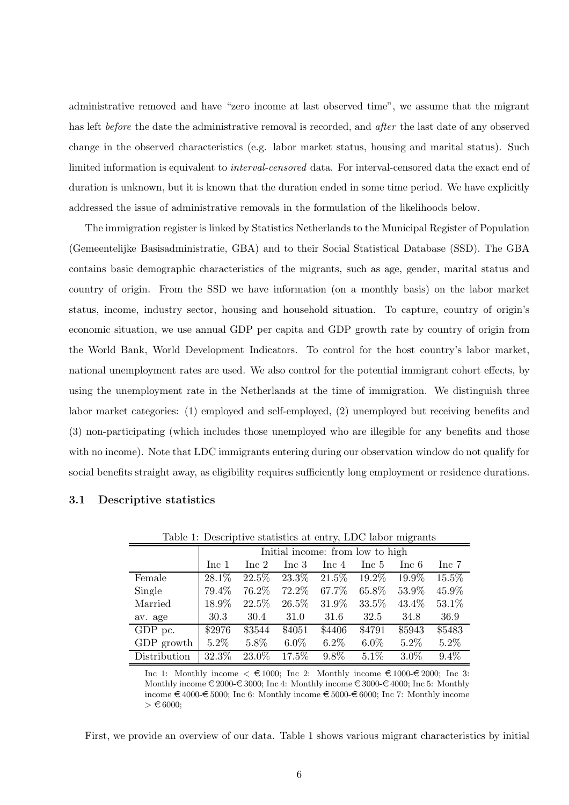administrative removed and have "zero income at last observed time", we assume that the migrant has left before the date the administrative removal is recorded, and *after* the last date of any observed change in the observed characteristics (e.g. labor market status, housing and marital status). Such limited information is equivalent to interval-censored data. For interval-censored data the exact end of duration is unknown, but it is known that the duration ended in some time period. We have explicitly addressed the issue of administrative removals in the formulation of the likelihoods below.

The immigration register is linked by Statistics Netherlands to the Municipal Register of Population (Gemeentelijke Basisadministratie, GBA) and to their Social Statistical Database (SSD). The GBA contains basic demographic characteristics of the migrants, such as age, gender, marital status and country of origin. From the SSD we have information (on a monthly basis) on the labor market status, income, industry sector, housing and household situation. To capture, country of origin's economic situation, we use annual GDP per capita and GDP growth rate by country of origin from the World Bank, World Development Indicators. To control for the host country's labor market, national unemployment rates are used. We also control for the potential immigrant cohort effects, by using the unemployment rate in the Netherlands at the time of immigration. We distinguish three labor market categories: (1) employed and self-employed, (2) unemployed but receiving benefits and (3) non-participating (which includes those unemployed who are illegible for any benefits and those with no income). Note that LDC immigrants entering during our observation window do not qualify for social benefits straight away, as eligibility requires sufficiently long employment or residence durations.

| Table 1: Descriptive statistics at entry, LDC labor migrants |         |                                  |          |         |         |          |         |  |  |
|--------------------------------------------------------------|---------|----------------------------------|----------|---------|---------|----------|---------|--|--|
|                                                              |         | Initial income: from low to high |          |         |         |          |         |  |  |
|                                                              | Inc. 1  | Inc 2                            | Inc 3    | Inc 4   | Inc 5   | Inc 6    | Inc 7   |  |  |
| Female                                                       | 28.1%   | 22.5%                            | 23.3%    | 21.5%   | 19.2%   | 19.9%    | 15.5%   |  |  |
| Single                                                       | 79.4%   | 76.2%                            | 72.2%    | 67.7%   | 65.8%   | 53.9%    | 45.9%   |  |  |
| Married                                                      | 18.9%   | 22.5%                            | 26.5%    | 31.9%   | 33.5%   | $43.4\%$ | 53.1%   |  |  |
| av. age                                                      | 30.3    | 30.4                             | 31.0     | 31.6    | 32.5    | 34.8     | 36.9    |  |  |
| GDP pc.                                                      | \$2976  | \$3544                           | \$4051   | \$4406  | \$4791  | \$5943   | \$5483  |  |  |
| GDP growth                                                   | $5.2\%$ | 5.8%                             | $6.0\%$  | $6.2\%$ | $6.0\%$ | $5.2\%$  | 5.2%    |  |  |
| Distribution                                                 | 32.3%   | 23.0%                            | $17.5\%$ | 9.8%    | 5.1%    | $3.0\%$  | $9.4\%$ |  |  |

3.1 Descriptive statistics

Inc 1: Monthly income  $\epsilon \in 1000$ ; Inc 2: Monthly income  $\epsilon \in 1000$ - $\epsilon \in 2000$ ; Inc 3: Monthly income  $\in 2000 - 8000$ ; Inc 4: Monthly income  $\in 3000 - 4000$ ; Inc 5: Monthly income  $\in 4000$ - $\in 5000$ ; Inc 6: Monthly income  $\in 5000$ - $\in 6000$ ; Inc 7: Monthly income  $> \epsilon$  6000;

First, we provide an overview of our data. Table 1 shows various migrant characteristics by initial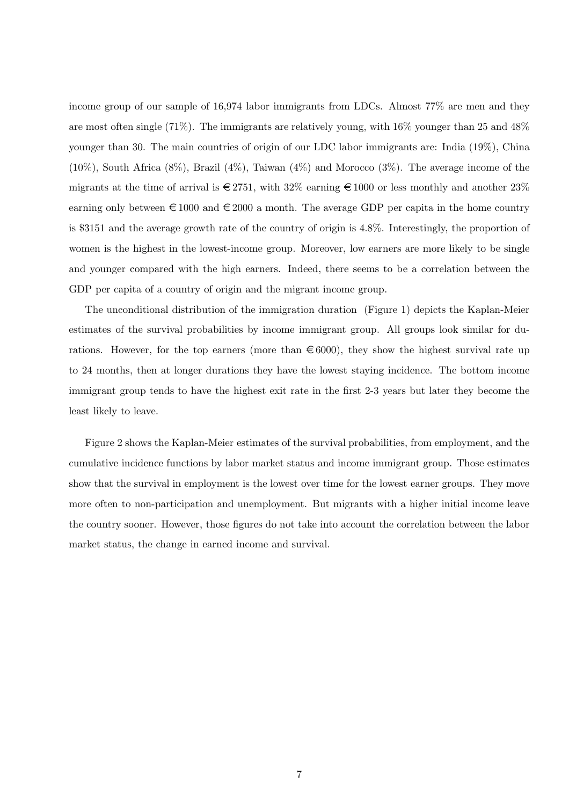income group of our sample of 16,974 labor immigrants from LDCs. Almost 77% are men and they are most often single (71%). The immigrants are relatively young, with  $16\%$  younger than 25 and  $48\%$ younger than 30. The main countries of origin of our LDC labor immigrants are: India (19%), China  $(10\%)$ , South Africa  $(8\%)$ , Brazil  $(4\%)$ , Taiwan  $(4\%)$  and Morocco  $(3\%)$ . The average income of the migrants at the time of arrival is  $\in 2751$ , with  $32\%$  earning  $\in 1000$  or less monthly and another  $23\%$ earning only between  $\epsilon$  1000 and  $\epsilon$  2000 a month. The average GDP per capita in the home country is \$3151 and the average growth rate of the country of origin is 4.8%. Interestingly, the proportion of women is the highest in the lowest-income group. Moreover, low earners are more likely to be single and younger compared with the high earners. Indeed, there seems to be a correlation between the GDP per capita of a country of origin and the migrant income group.

The unconditional distribution of the immigration duration (Figure 1) depicts the Kaplan-Meier estimates of the survival probabilities by income immigrant group. All groups look similar for durations. However, for the top earners (more than  $\epsilon$  6000), they show the highest survival rate up to 24 months, then at longer durations they have the lowest staying incidence. The bottom income immigrant group tends to have the highest exit rate in the first 2-3 years but later they become the least likely to leave.

Figure 2 shows the Kaplan-Meier estimates of the survival probabilities, from employment, and the cumulative incidence functions by labor market status and income immigrant group. Those estimates show that the survival in employment is the lowest over time for the lowest earner groups. They move more often to non-participation and unemployment. But migrants with a higher initial income leave the country sooner. However, those figures do not take into account the correlation between the labor market status, the change in earned income and survival.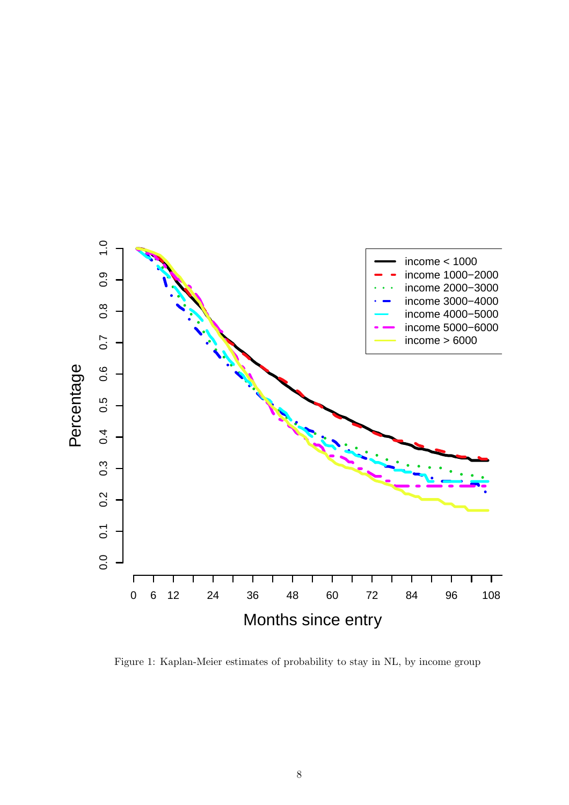

Figure 1: Kaplan-Meier estimates of probability to stay in NL, by income group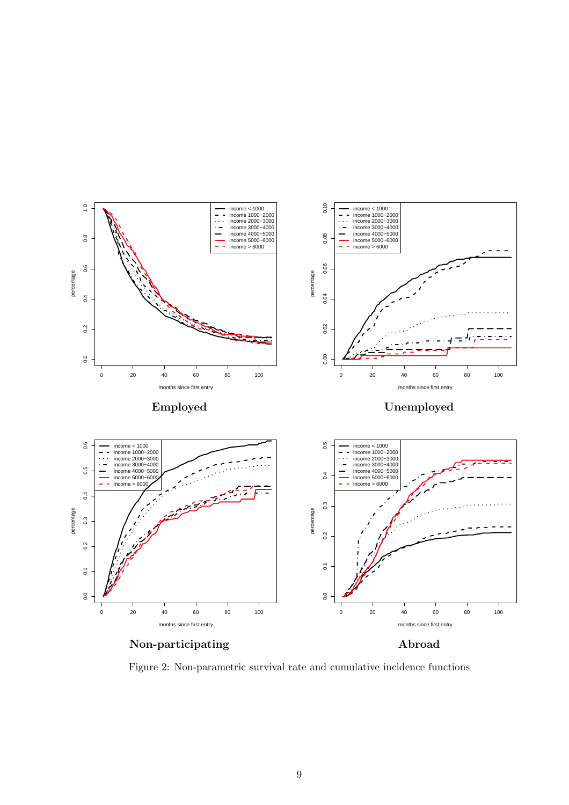

Figure 2: Non-parametric survival rate and cumulative incidence functions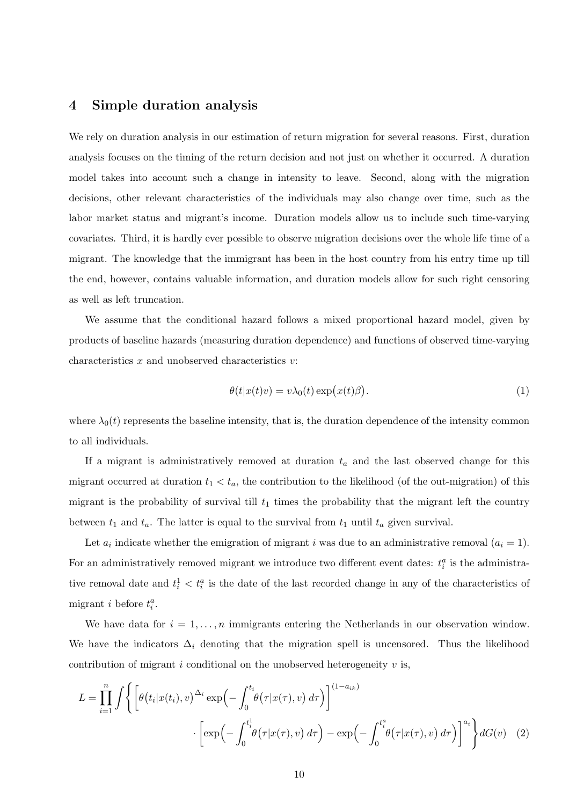# 4 Simple duration analysis

We rely on duration analysis in our estimation of return migration for several reasons. First, duration analysis focuses on the timing of the return decision and not just on whether it occurred. A duration model takes into account such a change in intensity to leave. Second, along with the migration decisions, other relevant characteristics of the individuals may also change over time, such as the labor market status and migrant's income. Duration models allow us to include such time-varying covariates. Third, it is hardly ever possible to observe migration decisions over the whole life time of a migrant. The knowledge that the immigrant has been in the host country from his entry time up till the end, however, contains valuable information, and duration models allow for such right censoring as well as left truncation.

We assume that the conditional hazard follows a mixed proportional hazard model, given by products of baseline hazards (measuring duration dependence) and functions of observed time-varying characteristics  $x$  and unobserved characteristics  $v$ :

$$
\theta(t|x(t)v) = v\lambda_0(t)\exp(x(t)\beta).
$$
\n(1)

where  $\lambda_0(t)$  represents the baseline intensity, that is, the duration dependence of the intensity common to all individuals.

If a migrant is administratively removed at duration  $t_a$  and the last observed change for this migrant occurred at duration  $t_1 < t_a$ , the contribution to the likelihood (of the out-migration) of this migrant is the probability of survival till  $t_1$  times the probability that the migrant left the country between  $t_1$  and  $t_a$ . The latter is equal to the survival from  $t_1$  until  $t_a$  given survival.

Let  $a_i$  indicate whether the emigration of migrant i was due to an administrative removal  $(a_i = 1)$ . For an administratively removed migrant we introduce two different event dates:  $t_i^a$  is the administrative removal date and  $t_i^1 < t_i^a$  is the date of the last recorded change in any of the characteristics of migrant *i* before  $t_i^a$ .

We have data for  $i = 1, \ldots, n$  immigrants entering the Netherlands in our observation window. We have the indicators  $\Delta_i$  denoting that the migration spell is uncensored. Thus the likelihood contribution of migrant i conditional on the unobserved heterogeneity  $v$  is,

$$
L = \prod_{i=1}^{n} \int \left\{ \left[ \theta(t_i | x(t_i), v)^{\Delta_i} \exp\left(-\int_0^{t_i} \theta(\tau | x(\tau), v) d\tau\right) \right]^{(1-a_{ik})} \cdot \left[ \exp\left(-\int_0^{t_i^1} \theta(\tau | x(\tau), v) d\tau\right) - \exp\left(-\int_0^{t_i^a} \theta(\tau | x(\tau), v) d\tau\right) \right]^{a_i} \right\} dG(v) \quad (2)
$$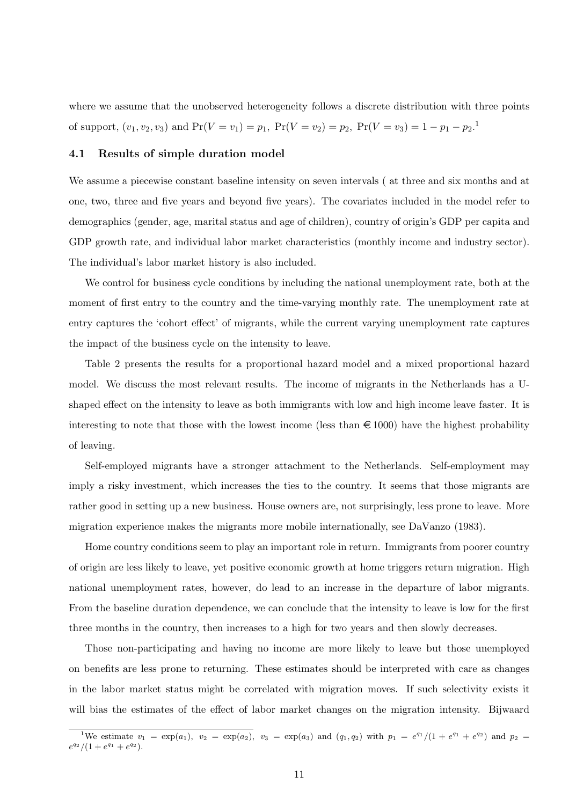where we assume that the unobserved heterogeneity follows a discrete distribution with three points of support,  $(v_1, v_2, v_3)$  and  $Pr(V = v_1) = p_1$ ,  $Pr(V = v_2) = p_2$ ,  $Pr(V = v_3) = 1 - p_1 - p_2$ .

#### 4.1 Results of simple duration model

We assume a piecewise constant baseline intensity on seven intervals ( at three and six months and at one, two, three and five years and beyond five years). The covariates included in the model refer to demographics (gender, age, marital status and age of children), country of origin's GDP per capita and GDP growth rate, and individual labor market characteristics (monthly income and industry sector). The individual's labor market history is also included.

We control for business cycle conditions by including the national unemployment rate, both at the moment of first entry to the country and the time-varying monthly rate. The unemployment rate at entry captures the 'cohort effect' of migrants, while the current varying unemployment rate captures the impact of the business cycle on the intensity to leave.

Table 2 presents the results for a proportional hazard model and a mixed proportional hazard model. We discuss the most relevant results. The income of migrants in the Netherlands has a Ushaped effect on the intensity to leave as both immigrants with low and high income leave faster. It is interesting to note that those with the lowest income (less than  $\in 1000$ ) have the highest probability of leaving.

Self-employed migrants have a stronger attachment to the Netherlands. Self-employment may imply a risky investment, which increases the ties to the country. It seems that those migrants are rather good in setting up a new business. House owners are, not surprisingly, less prone to leave. More migration experience makes the migrants more mobile internationally, see DaVanzo (1983).

Home country conditions seem to play an important role in return. Immigrants from poorer country of origin are less likely to leave, yet positive economic growth at home triggers return migration. High national unemployment rates, however, do lead to an increase in the departure of labor migrants. From the baseline duration dependence, we can conclude that the intensity to leave is low for the first three months in the country, then increases to a high for two years and then slowly decreases.

Those non-participating and having no income are more likely to leave but those unemployed on benefits are less prone to returning. These estimates should be interpreted with care as changes in the labor market status might be correlated with migration moves. If such selectivity exists it will bias the estimates of the effect of labor market changes on the migration intensity. Bijwaard

<sup>&</sup>lt;sup>1</sup>We estimate  $v_1 = \exp(a_1)$ ,  $v_2 = \exp(a_2)$ ,  $v_3 = \exp(a_3)$  and  $(q_1, q_2)$  with  $p_1 = e^{q_1}/(1 + e^{q_1} + e^{q_2})$  and  $p_2 =$  $e^{q_2}/(1+e^{q_1}+e^{q_2}).$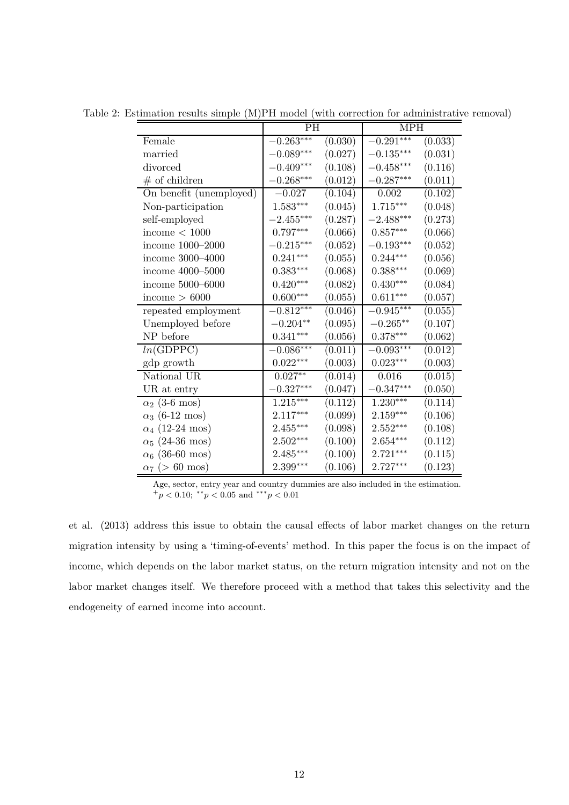|                         | <b>PH</b>       |         | <b>MPH</b>             |         |  |
|-------------------------|-----------------|---------|------------------------|---------|--|
| Female                  | $-0.263***$     | (0.030) | $-0.291***$            | (0.033) |  |
| married                 | $-0.089***$     | (0.027) | $-0.135***$            | (0.031) |  |
| divorced                | $-0.409***$     | (0.108) | $-0.458***$            | (0.116) |  |
| $#$ of children         | $-0.268***$     | (0.012) | $-0.287***$            | (0.011) |  |
| On benefit (unemployed) | $-0.027$        | (0.104) | $0.002\,$              | (0.102) |  |
| Non-participation       | $1.583***$      | (0.045) | $1.715***$             | (0.048) |  |
| self-employed           | $-2.455***$     | (0.287) | $-2.488***$            | (0.273) |  |
| income $< 1000$         | $0.797***$      | (0.066) | $0.857^{\ast\ast\ast}$ | (0.066) |  |
| income 1000-2000        | $-0.215***$     | (0.052) | $-0.193***$            | (0.052) |  |
| income 3000-4000        | $0.241***$      | (0.055) | $0.244***$             | (0.056) |  |
| income 4000-5000        | $0.383^{***}\,$ | (0.068) | $0.388***$             | (0.069) |  |
| income 5000-6000        | $0.420***$      | (0.082) | $0.430***$             | (0.084) |  |
| income $> 6000$         | $0.600***$      | (0.055) | $0.611***$             | (0.057) |  |
| repeated employment     | $-0.812***$     | (0.046) | $-0.945***$            | (0.055) |  |
| Unemployed before       | $-0.204**$      | (0.095) | $-0.265**$             | (0.107) |  |
| NP before               | $0.341***$      | (0.056) | $0.378***$             | (0.062) |  |
| ln(GDPPC)               | $-0.086***$     | (0.011) | $-0.093***$            | (0.012) |  |
| gdp growth              | $0.022***$      | (0.003) | $0.023***$             | (0.003) |  |
| National UR             | $0.027**$       | (0.014) | 0.016                  | (0.015) |  |
| UR at entry             | $-0.327***$     | (0.047) | $-0.347***$            | (0.050) |  |
| $\alpha_2$ (3-6 mos)    | $1.215***$      | (0.112) | $1.230^{\ast\ast\ast}$ | (0.114) |  |
| $\alpha_3$ (6-12 mos)   | $2.117***$      | (0.099) | $2.159***$             | (0.106) |  |
| $\alpha_4$ (12-24 mos)  | $2.455***$      | (0.098) | $2.552***$             | (0.108) |  |
| $\alpha_5$ (24-36 mos)  | $2.502***$      | (0.100) | $2.654***$             | (0.112) |  |
| $\alpha_6$ (36-60 mos)  | $2.485***$      | (0.100) | $2.721***$             | (0.115) |  |
| $\alpha_7$ (> 60 mos)   | $2.399***$      | (0.106) | $2.727***$             | (0.123) |  |

Table 2: Estimation results simple (M)PH model (with correction for administrative removal)

Age, sector, entry year and country dummies are also included in the estimation.  $+p < 0.10$ ; \*\* $p < 0.05$  and \*\*\* $p < 0.01$ 

et al. (2013) address this issue to obtain the causal effects of labor market changes on the return migration intensity by using a 'timing-of-events' method. In this paper the focus is on the impact of income, which depends on the labor market status, on the return migration intensity and not on the labor market changes itself. We therefore proceed with a method that takes this selectivity and the endogeneity of earned income into account.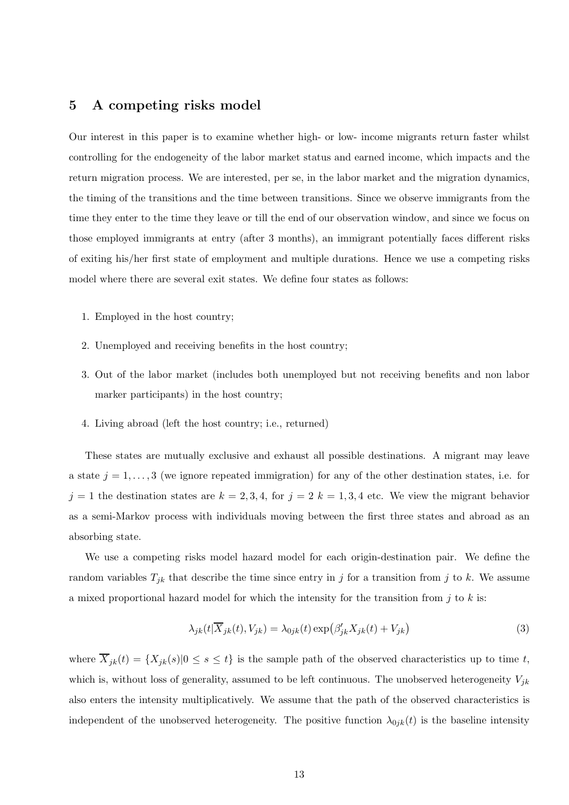# 5 A competing risks model

Our interest in this paper is to examine whether high- or low- income migrants return faster whilst controlling for the endogeneity of the labor market status and earned income, which impacts and the return migration process. We are interested, per se, in the labor market and the migration dynamics, the timing of the transitions and the time between transitions. Since we observe immigrants from the time they enter to the time they leave or till the end of our observation window, and since we focus on those employed immigrants at entry (after 3 months), an immigrant potentially faces different risks of exiting his/her first state of employment and multiple durations. Hence we use a competing risks model where there are several exit states. We define four states as follows:

- 1. Employed in the host country;
- 2. Unemployed and receiving benefits in the host country;
- 3. Out of the labor market (includes both unemployed but not receiving benefits and non labor marker participants) in the host country;
- 4. Living abroad (left the host country; i.e., returned)

These states are mutually exclusive and exhaust all possible destinations. A migrant may leave a state  $j = 1, \ldots, 3$  (we ignore repeated immigration) for any of the other destination states, i.e. for  $j = 1$  the destination states are  $k = 2, 3, 4$ , for  $j = 2$   $k = 1, 3, 4$  etc. We view the migrant behavior as a semi-Markov process with individuals moving between the first three states and abroad as an absorbing state.

We use a competing risks model hazard model for each origin-destination pair. We define the random variables  $T_{jk}$  that describe the time since entry in j for a transition from j to k. We assume a mixed proportional hazard model for which the intensity for the transition from  $j$  to  $k$  is:

$$
\lambda_{jk}(t|\overline{X}_{jk}(t), V_{jk}) = \lambda_{0jk}(t) \exp\left(\beta'_{jk} X_{jk}(t) + V_{jk}\right)
$$
\n(3)

where  $\overline{X}_{jk}(t) = \{X_{jk}(s)|0 \le s \le t\}$  is the sample path of the observed characteristics up to time t, which is, without loss of generality, assumed to be left continuous. The unobserved heterogeneity  $V_{jk}$ also enters the intensity multiplicatively. We assume that the path of the observed characteristics is independent of the unobserved heterogeneity. The positive function  $\lambda_{0jk}(t)$  is the baseline intensity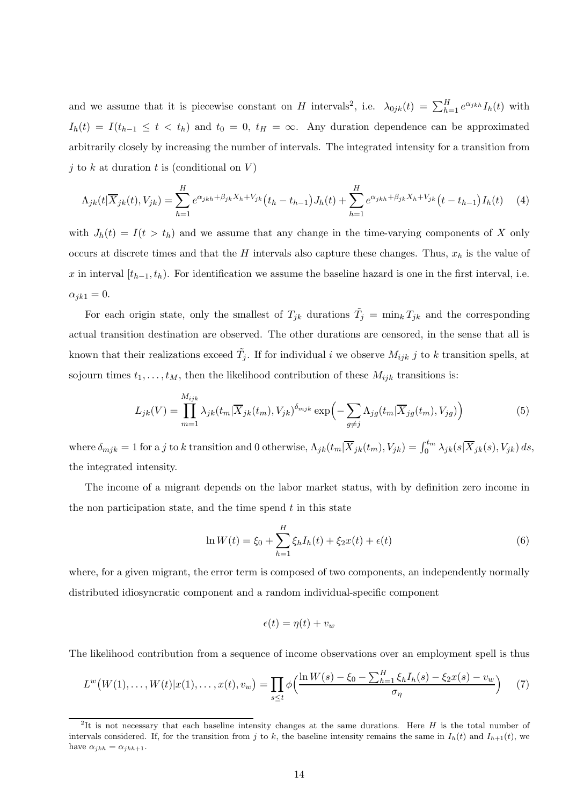and we assume that it is piecewise constant on H intervals<sup>2</sup>, i.e.  $\lambda_{0jk}(t) = \sum_{h=1}^{H} e^{\alpha_{jkh}} I_h(t)$  with  $I_h(t) = I(t_{h-1} \leq t \leq t_h)$  and  $t_0 = 0$ ,  $t_H = \infty$ . Any duration dependence can be approximated arbitrarily closely by increasing the number of intervals. The integrated intensity for a transition from j to k at duration t is (conditional on  $V$ )

$$
\Lambda_{jk}(t|\overline{X}_{jk}(t),V_{jk}) = \sum_{h=1}^{H} e^{\alpha_{jkh} + \beta_{jk}X_h + V_{jk}}(t_h - t_{h-1})J_h(t) + \sum_{h=1}^{H} e^{\alpha_{jkh} + \beta_{jk}X_h + V_{jk}}(t - t_{h-1})I_h(t) \tag{4}
$$

with  $J_h(t) = I(t > t_h)$  and we assume that any change in the time-varying components of X only occurs at discrete times and that the H intervals also capture these changes. Thus,  $x_h$  is the value of x in interval  $[t_{h-1}, t_h)$ . For identification we assume the baseline hazard is one in the first interval, i.e.  $\alpha_{ik1} = 0.$ 

For each origin state, only the smallest of  $T_{jk}$  durations  $\tilde{T}_j = \min_k T_{jk}$  and the corresponding actual transition destination are observed. The other durations are censored, in the sense that all is known that their realizations exceed  $\tilde{T}_j$ . If for individual i we observe  $M_{ijk}$  j to k transition spells, at sojourn times  $t_1, \ldots, t_M$ , then the likelihood contribution of these  $M_{ijk}$  transitions is:

$$
L_{jk}(V) = \prod_{m=1}^{M_{ijk}} \lambda_{jk}(t_m | \overline{X}_{jk}(t_m), V_{jk})^{\delta_{mjk}} \exp\left(-\sum_{g \neq j} \Lambda_{jg}(t_m | \overline{X}_{jg}(t_m), V_{jg})\right)
$$
(5)

where  $\delta_{mjk} = 1$  for a j to k transition and 0 otherwise,  $\Lambda_{jk}(t_m | \overline{X}_{jk}(t_m), V_{jk}) = \int_0^{t_m} \lambda_{jk}(s | \overline{X}_{jk}(s), V_{jk}) ds$ , the integrated intensity.

The income of a migrant depends on the labor market status, with by definition zero income in the non participation state, and the time spend  $t$  in this state

$$
\ln W(t) = \xi_0 + \sum_{h=1}^{H} \xi_h I_h(t) + \xi_2 x(t) + \epsilon(t)
$$
\n(6)

where, for a given migrant, the error term is composed of two components, an independently normally distributed idiosyncratic component and a random individual-specific component

$$
\epsilon(t) = \eta(t) + v_w
$$

The likelihood contribution from a sequence of income observations over an employment spell is thus

$$
L^{w}(W(1),...,W(t)|x(1),...,x(t),v_{w}) = \prod_{s \leq t} \phi\Big(\frac{\ln W(s) - \xi_{0} - \sum_{h=1}^{H} \xi_{h} I_{h}(s) - \xi_{2} x(s) - v_{w}}{\sigma_{\eta}}\Big) \tag{7}
$$

<sup>&</sup>lt;sup>2</sup>It is not necessary that each baseline intensity changes at the same durations. Here  $H$  is the total number of intervals considered. If, for the transition from j to k, the baseline intensity remains the same in  $I_h(t)$  and  $I_{h+1}(t)$ , we have  $\alpha_{jkh} = \alpha_{jkh+1}$ .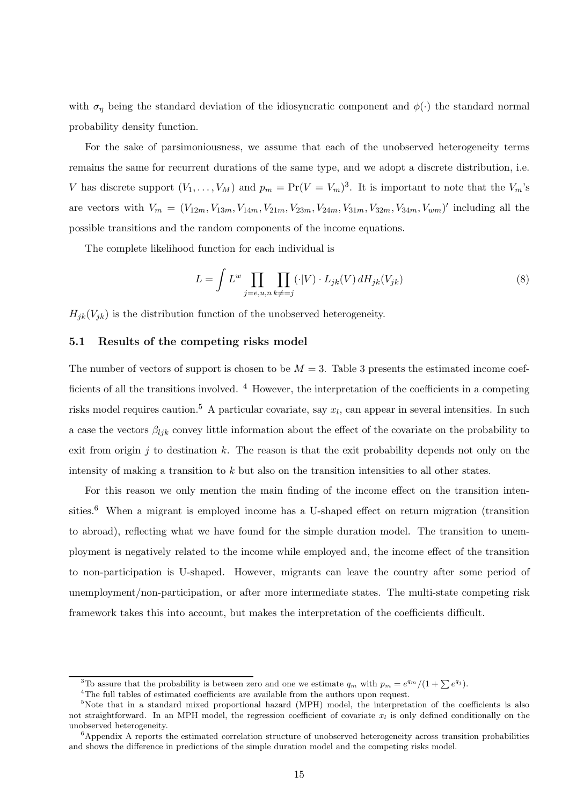with  $\sigma_{\eta}$  being the standard deviation of the idiosyncratic component and  $\phi(\cdot)$  the standard normal probability density function.

For the sake of parsimoniousness, we assume that each of the unobserved heterogeneity terms remains the same for recurrent durations of the same type, and we adopt a discrete distribution, i.e. V has discrete support  $(V_1, \ldots, V_M)$  and  $p_m = \Pr(V = V_m)^3$ . It is important to note that the  $V_m$ 's are vectors with  $V_m = (V_{12m}, V_{13m}, V_{14m}, V_{21m}, V_{23m}, V_{24m}, V_{31m}, V_{32m}, V_{34m}, V_{wm})'$  including all the possible transitions and the random components of the income equations.

The complete likelihood function for each individual is

$$
L = \int L^w \prod_{j=e,u,n} \prod_{k\neq j} (\cdot|V) \cdot L_{jk}(V) dH_{jk}(V_{jk})
$$
\n(8)

 $H_{jk}(V_{jk})$  is the distribution function of the unobserved heterogeneity.

#### 5.1 Results of the competing risks model

The number of vectors of support is chosen to be  $M = 3$ . Table 3 presents the estimated income coefficients of all the transitions involved. <sup>4</sup> However, the interpretation of the coefficients in a competing risks model requires caution.<sup>5</sup> A particular covariate, say  $x_l$ , can appear in several intensities. In such a case the vectors  $\beta_{ljk}$  convey little information about the effect of the covariate on the probability to exit from origin j to destination k. The reason is that the exit probability depends not only on the intensity of making a transition to k but also on the transition intensities to all other states.

For this reason we only mention the main finding of the income effect on the transition intensities.<sup>6</sup> When a migrant is employed income has a U-shaped effect on return migration (transition to abroad), reflecting what we have found for the simple duration model. The transition to unemployment is negatively related to the income while employed and, the income effect of the transition to non-participation is U-shaped. However, migrants can leave the country after some period of unemployment/non-participation, or after more intermediate states. The multi-state competing risk framework takes this into account, but makes the interpretation of the coefficients difficult.

<sup>&</sup>lt;sup>3</sup>To assure that the probability is between zero and one we estimate  $q_m$  with  $p_m = e^{q_m}/(1 + \sum e^{q_j})$ .

 ${}^{4}\mathrm{The}$  full tables of estimated coefficients are available from the authors upon request.

<sup>&</sup>lt;sup>5</sup>Note that in a standard mixed proportional hazard (MPH) model, the interpretation of the coefficients is also not straightforward. In an MPH model, the regression coefficient of covariate  $x_l$  is only defined conditionally on the unobserved heterogeneity.

 ${}^{6}$ Appendix A reports the estimated correlation structure of unobserved heterogeneity across transition probabilities and shows the difference in predictions of the simple duration model and the competing risks model.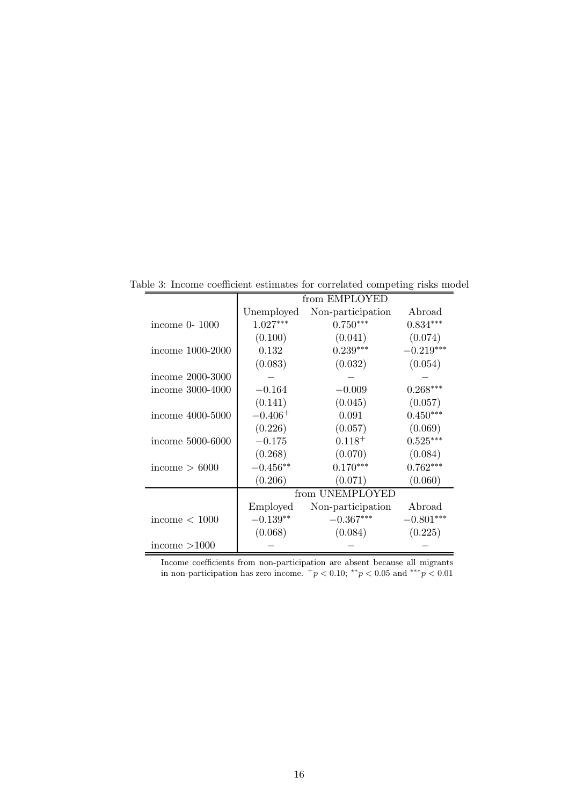|                  | from EMPLOYED |                   |             |  |  |  |
|------------------|---------------|-------------------|-------------|--|--|--|
|                  | Unemployed    | Non-participation | Abroad      |  |  |  |
| income 0-1000    | $1.027***$    | $0.750***$        | $0.834***$  |  |  |  |
|                  | (0.100)       | (0.041)           | (0.074)     |  |  |  |
| income 1000-2000 | 0.132         | $0.239***$        | $-0.219***$ |  |  |  |
|                  | (0.083)       | (0.032)           | (0.054)     |  |  |  |
| income 2000-3000 |               |                   |             |  |  |  |
| income 3000-4000 | $-0.164$      | $-0.009$          | $0.268***$  |  |  |  |
|                  | (0.141)       | (0.045)           | (0.057)     |  |  |  |
| income 4000-5000 | $-0.406^{+}$  | 0.091             | $0.450***$  |  |  |  |
|                  | (0.226)       | (0.057)           | (0.069)     |  |  |  |
| income 5000-6000 | $-0.175$      | $0.118^{+}$       | $0.525***$  |  |  |  |
|                  | (0.268)       | (0.070)           | (0.084)     |  |  |  |
| income $> 6000$  | $-0.456**$    | $0.170***$        | $0.762***$  |  |  |  |
|                  | (0.206)       | (0.071)           | (0.060)     |  |  |  |
|                  |               | from UNEMPLOYED   |             |  |  |  |
|                  | Employed      | Non-participation | Abroad      |  |  |  |
| income $< 1000$  | $-0.139**$    | $-0.367***$       | $-0.801***$ |  |  |  |
|                  | (0.068)       | (0.084)           | (0.225)     |  |  |  |
| income $>1000$   |               |                   |             |  |  |  |

Table 3: Income coefficient estimates for correlated competing risks model

Income coefficients from non-participation are absent because all migrants in non-participation has zero income.  $+p < 0.10$ ; \*\* $p < 0.05$  and \*\*\* $p < 0.01$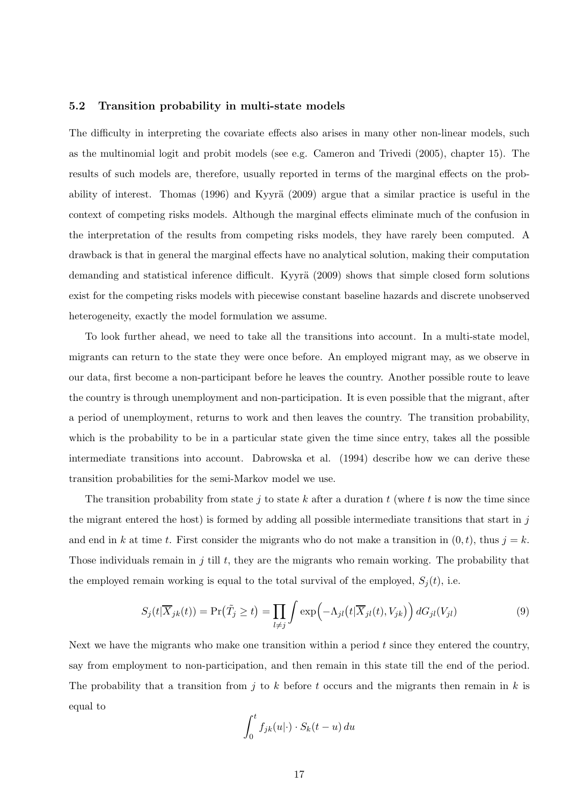#### 5.2 Transition probability in multi-state models

The difficulty in interpreting the covariate effects also arises in many other non-linear models, such as the multinomial logit and probit models (see e.g. Cameron and Trivedi (2005), chapter 15). The results of such models are, therefore, usually reported in terms of the marginal effects on the probability of interest. Thomas  $(1996)$  and Kyyrä  $(2009)$  argue that a similar practice is useful in the context of competing risks models. Although the marginal effects eliminate much of the confusion in the interpretation of the results from competing risks models, they have rarely been computed. A drawback is that in general the marginal effects have no analytical solution, making their computation demanding and statistical inference difficult. Kyyrä (2009) shows that simple closed form solutions exist for the competing risks models with piecewise constant baseline hazards and discrete unobserved heterogeneity, exactly the model formulation we assume.

To look further ahead, we need to take all the transitions into account. In a multi-state model, migrants can return to the state they were once before. An employed migrant may, as we observe in our data, first become a non-participant before he leaves the country. Another possible route to leave the country is through unemployment and non-participation. It is even possible that the migrant, after a period of unemployment, returns to work and then leaves the country. The transition probability, which is the probability to be in a particular state given the time since entry, takes all the possible intermediate transitions into account. Dabrowska et al. (1994) describe how we can derive these transition probabilities for the semi-Markov model we use.

The transition probability from state j to state k after a duration  $t$  (where  $t$  is now the time since the migrant entered the host) is formed by adding all possible intermediate transitions that start in  $j$ and end in k at time t. First consider the migrants who do not make a transition in  $(0, t)$ , thus  $j = k$ . Those individuals remain in  $j$  till  $t$ , they are the migrants who remain working. The probability that the employed remain working is equal to the total survival of the employed,  $S_i(t)$ , i.e.

$$
S_j(t|\overline{X}_{jk}(t)) = \Pr(\tilde{T}_j \ge t) = \prod_{l \ne j} \int \exp\left(-\Lambda_{jl}\left(t|\overline{X}_{jl}(t), V_{jk}\right)\right) dG_{jl}(V_{jl}) \tag{9}
$$

Next we have the migrants who make one transition within a period  $t$  since they entered the country, say from employment to non-participation, and then remain in this state till the end of the period. The probability that a transition from j to k before t occurs and the migrants then remain in k is equal to

$$
\int_0^t f_{jk}(u|\cdot) \cdot S_k(t-u) \, du
$$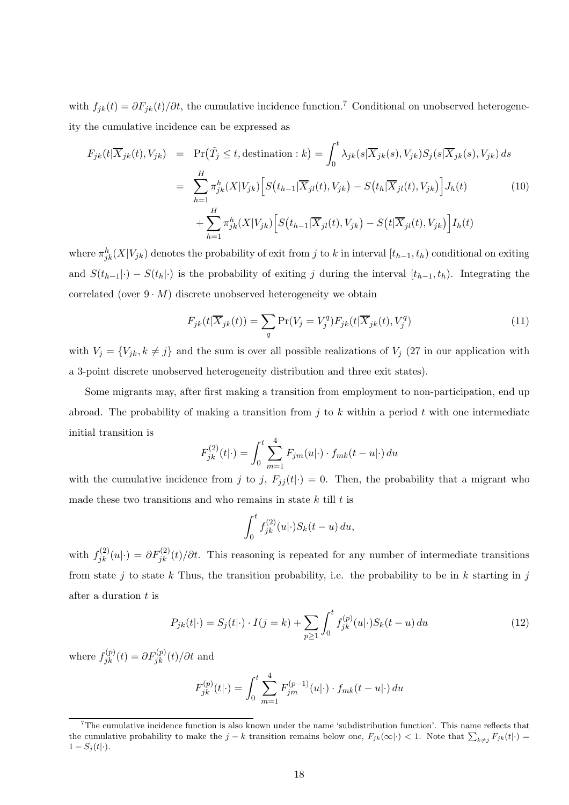with  $f_{jk}(t) = \partial F_{jk}(t)/\partial t$ , the cumulative incidence function.<sup>7</sup> Conditional on unobserved heterogeneity the cumulative incidence can be expressed as

$$
F_{jk}(t|\overline{X}_{jk}(t), V_{jk}) = \Pr(\tilde{T}_j \le t, \text{destination}: k) = \int_0^t \lambda_{jk}(s|\overline{X}_{jk}(s), V_{jk})S_j(s|\overline{X}_{jk}(s), V_{jk}) ds
$$
  

$$
= \sum_{h=1}^H \pi_{jk}^h(X|V_{jk}) \Big[ S(t_{h-1}|\overline{X}_{jl}(t), V_{jk}) - S(t_h|\overline{X}_{jl}(t), V_{jk}) \Big] J_h(t)
$$
(10)  

$$
+ \sum_{h=1}^H \pi_{jk}^h(X|V_{jk}) \Big[ S(t_{h-1}|\overline{X}_{jl}(t), V_{jk}) - S(t|\overline{X}_{jl}(t), V_{jk}) \Big] I_h(t)
$$

where  $\pi_{jk}^h(X|V_{jk})$  denotes the probability of exit from j to k in interval  $[t_{h-1}, t_h)$  conditional on exiting and  $S(t_{h-1}|\cdot) - S(t_h|\cdot)$  is the probability of exiting j during the interval  $[t_{h-1}, t_h)$ . Integrating the correlated (over  $9 \cdot M$ ) discrete unobserved heterogeneity we obtain

$$
F_{jk}(t|\overline{X}_{jk}(t)) = \sum_{q} \Pr(V_j = V_j^q) F_{jk}(t|\overline{X}_{jk}(t), V_j^q)
$$
\n(11)

with  $V_j = \{V_{jk}, k \neq j\}$  and the sum is over all possible realizations of  $V_j$  (27 in our application with a 3-point discrete unobserved heterogeneity distribution and three exit states).

Some migrants may, after first making a transition from employment to non-participation, end up abroad. The probability of making a transition from  $j$  to  $k$  within a period  $t$  with one intermediate initial transition is

$$
F_{jk}^{(2)}(t|\cdot) = \int_0^t \sum_{m=1}^4 F_{jm}(u|\cdot) \cdot f_{mk}(t-u|\cdot) du
$$

with the cumulative incidence from j to j,  $F_{jj}(t|\cdot) = 0$ . Then, the probability that a migrant who made these two transitions and who remains in state  $k$  till  $t$  is

$$
\int_0^t f_{jk}^{(2)}(u|\cdot)S_k(t-u)\,du,
$$

with  $f_{jk}^{(2)}(u|\cdot) = \partial F_{jk}^{(2)}(t)/\partial t$ . This reasoning is repeated for any number of intermediate transitions from state j to state k Thus, the transition probability, i.e. the probability to be in k starting in j after a duration t is

$$
P_{jk}(t|\cdot) = S_j(t|\cdot) \cdot I(j=k) + \sum_{p \ge 1} \int_0^t f_{jk}^{(p)}(u|\cdot) S_k(t-u) du \qquad (12)
$$

where  $f_{jk}^{(p)}(t) = \partial F_{jk}^{(p)}(t) / \partial t$  and

$$
F_{jk}^{(p)}(t|\cdot) = \int_0^t \sum_{m=1}^4 F_{jm}^{(p-1)}(u|\cdot) \cdot f_{mk}(t-u|\cdot) du
$$

 $7$ The cumulative incidence function is also known under the name 'subdistribution function'. This name reflects that the cumulative probability to make the  $j - k$  transition remains below one,  $F_{jk}(\infty|\cdot) < 1$ . Note that  $\sum_{k \neq j} F_{jk}(t|\cdot) =$  $1 - S_j(t|\cdot).$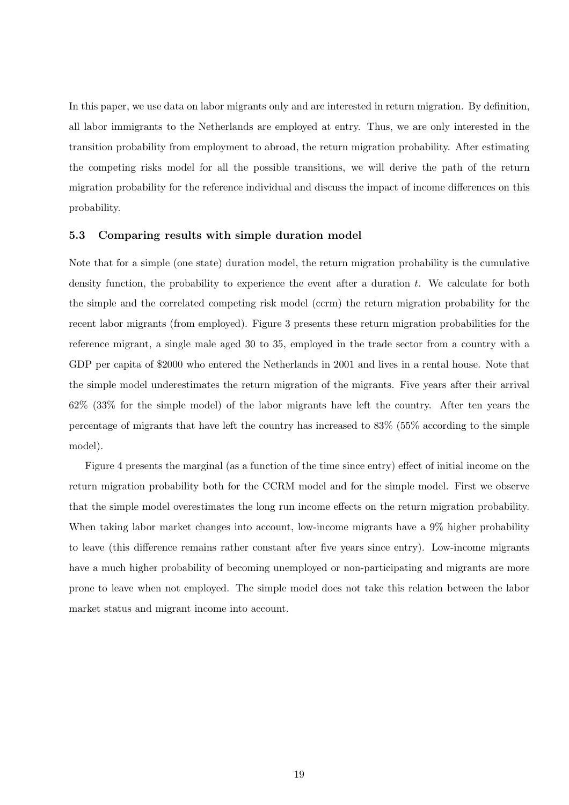In this paper, we use data on labor migrants only and are interested in return migration. By definition, all labor immigrants to the Netherlands are employed at entry. Thus, we are only interested in the transition probability from employment to abroad, the return migration probability. After estimating the competing risks model for all the possible transitions, we will derive the path of the return migration probability for the reference individual and discuss the impact of income differences on this probability.

#### 5.3 Comparing results with simple duration model

Note that for a simple (one state) duration model, the return migration probability is the cumulative density function, the probability to experience the event after a duration  $t$ . We calculate for both the simple and the correlated competing risk model (ccrm) the return migration probability for the recent labor migrants (from employed). Figure 3 presents these return migration probabilities for the reference migrant, a single male aged 30 to 35, employed in the trade sector from a country with a GDP per capita of \$2000 who entered the Netherlands in 2001 and lives in a rental house. Note that the simple model underestimates the return migration of the migrants. Five years after their arrival 62% (33% for the simple model) of the labor migrants have left the country. After ten years the percentage of migrants that have left the country has increased to 83% (55% according to the simple model).

Figure 4 presents the marginal (as a function of the time since entry) effect of initial income on the return migration probability both for the CCRM model and for the simple model. First we observe that the simple model overestimates the long run income effects on the return migration probability. When taking labor market changes into account, low-income migrants have a  $9\%$  higher probability to leave (this difference remains rather constant after five years since entry). Low-income migrants have a much higher probability of becoming unemployed or non-participating and migrants are more prone to leave when not employed. The simple model does not take this relation between the labor market status and migrant income into account.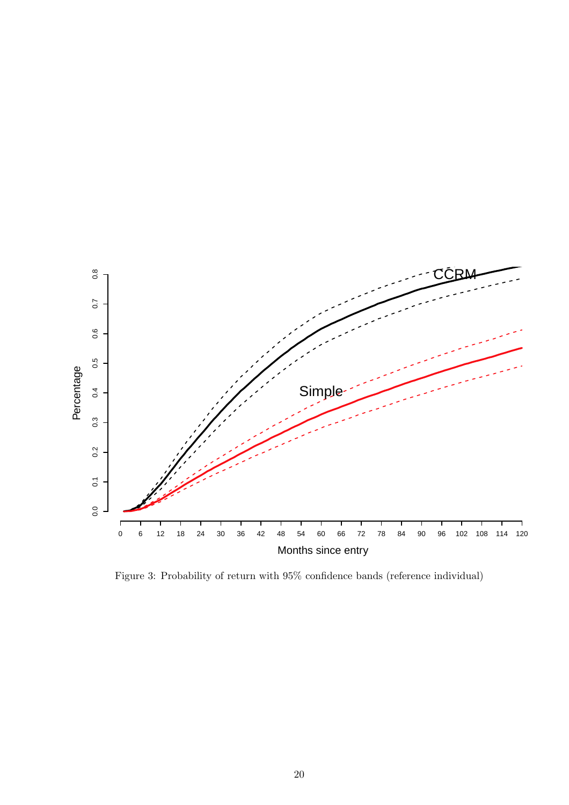

Figure 3: Probability of return with 95% confidence bands (reference individual)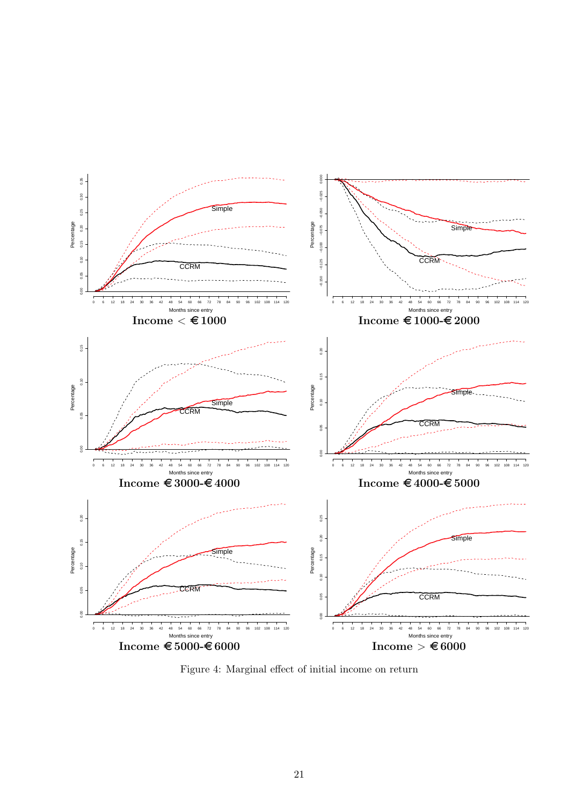

Figure 4: Marginal effect of initial income on return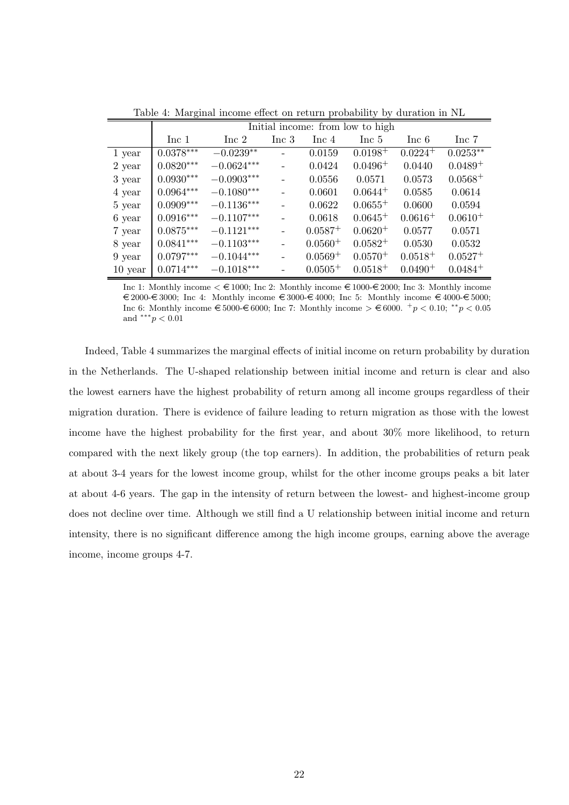|           | Initial income: from low to high |              |                          |              |              |              |              |  |  |
|-----------|----------------------------------|--------------|--------------------------|--------------|--------------|--------------|--------------|--|--|
|           | Inc 1                            | Inc 2        | Inc 3                    | Inc 4        | Inc 5        | Inc 6        | Inc 7        |  |  |
| 1 year    | $0.0378***$                      | $-0.0239**$  | $\overline{\phantom{0}}$ | 0.0159       | $0.0198+$    | $0.0224^{+}$ | $0.0253**$   |  |  |
| 2 year    | $0.0820***$                      | $-0.0624***$ |                          | 0.0424       | $0.0496^{+}$ | 0.0440       | $0.0489^{+}$ |  |  |
| 3 year    | $0.0930***$                      | $-0.0903***$ |                          | 0.0556       | 0.0571       | 0.0573       | $0.0568+$    |  |  |
| 4 year    | $0.0964***$                      | $-0.1080***$ |                          | 0.0601       | $0.0644^{+}$ | 0.0585       | 0.0614       |  |  |
| 5 year    | $0.0909***$                      | $-0.1136***$ |                          | 0.0622       | $0.0655^{+}$ | 0.0600       | 0.0594       |  |  |
| 6 year    | $0.0916***$                      | $-0.1107***$ |                          | 0.0618       | $0.0645^{+}$ | $0.0616+$    | $0.0610^{+}$ |  |  |
| 7 year    | $0.0875***$                      | $-0.1121***$ |                          | $0.0587^{+}$ | $0.0620^{+}$ | 0.0577       | 0.0571       |  |  |
| 8 year    | $0.0841***$                      | $-0.1103***$ |                          | $0.0560^{+}$ | $0.0582^{+}$ | 0.0530       | 0.0532       |  |  |
| 9 year    | $0.0797***$                      | $-0.1044***$ |                          | $0.0569+$    | $0.0570+$    | $0.0518 +$   | $0.0527+$    |  |  |
| $10$ year | $0.0714***$                      | $-0.1018***$ |                          | $0.0505^{+}$ | $0.0518^{+}$ | $0.0490^{+}$ | $0.0484^{+}$ |  |  |

Table 4: Marginal income effect on return probability by duration in NL

Inc 1: Monthly income  $\leq \epsilon$  1000; Inc 2: Monthly income  $\epsilon$  1000- $\epsilon$  2000; Inc 3: Monthly income  $\epsilon \in 2000$ - $\epsilon$  3000; Inc 4: Monthly income  $\epsilon$  3000- $\epsilon$  4000; Inc 5: Monthly income  $\epsilon$  4000- $\epsilon$  5000; Inc 6: Monthly income  $\epsilon$  5000- $\epsilon$  6000; Inc 7: Monthly income >  $\epsilon$  6000. <sup>+</sup>p < 0.10; \*\*p < 0.05 and \*\*\* $p < 0.01$ 

Indeed, Table 4 summarizes the marginal effects of initial income on return probability by duration in the Netherlands. The U-shaped relationship between initial income and return is clear and also the lowest earners have the highest probability of return among all income groups regardless of their migration duration. There is evidence of failure leading to return migration as those with the lowest income have the highest probability for the first year, and about 30% more likelihood, to return compared with the next likely group (the top earners). In addition, the probabilities of return peak at about 3-4 years for the lowest income group, whilst for the other income groups peaks a bit later at about 4-6 years. The gap in the intensity of return between the lowest- and highest-income group does not decline over time. Although we still find a U relationship between initial income and return intensity, there is no significant difference among the high income groups, earning above the average income, income groups 4-7.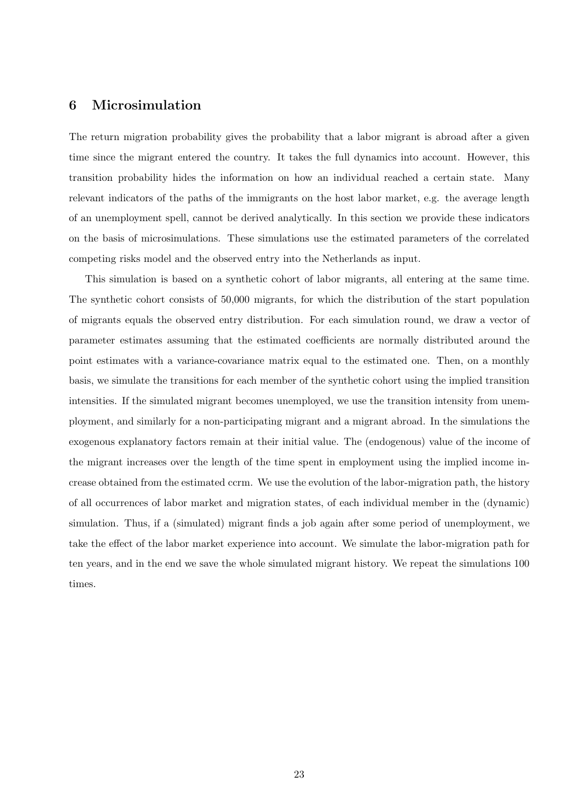### 6 Microsimulation

The return migration probability gives the probability that a labor migrant is abroad after a given time since the migrant entered the country. It takes the full dynamics into account. However, this transition probability hides the information on how an individual reached a certain state. Many relevant indicators of the paths of the immigrants on the host labor market, e.g. the average length of an unemployment spell, cannot be derived analytically. In this section we provide these indicators on the basis of microsimulations. These simulations use the estimated parameters of the correlated competing risks model and the observed entry into the Netherlands as input.

This simulation is based on a synthetic cohort of labor migrants, all entering at the same time. The synthetic cohort consists of 50,000 migrants, for which the distribution of the start population of migrants equals the observed entry distribution. For each simulation round, we draw a vector of parameter estimates assuming that the estimated coefficients are normally distributed around the point estimates with a variance-covariance matrix equal to the estimated one. Then, on a monthly basis, we simulate the transitions for each member of the synthetic cohort using the implied transition intensities. If the simulated migrant becomes unemployed, we use the transition intensity from unemployment, and similarly for a non-participating migrant and a migrant abroad. In the simulations the exogenous explanatory factors remain at their initial value. The (endogenous) value of the income of the migrant increases over the length of the time spent in employment using the implied income increase obtained from the estimated ccrm. We use the evolution of the labor-migration path, the history of all occurrences of labor market and migration states, of each individual member in the (dynamic) simulation. Thus, if a (simulated) migrant finds a job again after some period of unemployment, we take the effect of the labor market experience into account. We simulate the labor-migration path for ten years, and in the end we save the whole simulated migrant history. We repeat the simulations 100 times.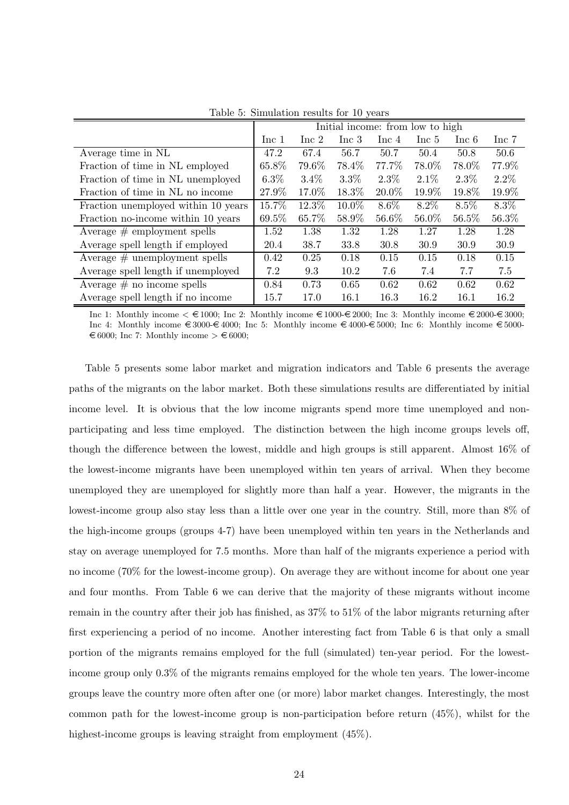|                                     | Initial income: from low to high |         |         |         |         |         |         |
|-------------------------------------|----------------------------------|---------|---------|---------|---------|---------|---------|
|                                     | Inc 1                            | Inc 2   | Inc 3   | Inc 4   | Inc 5   | Inc 6   | Inc 7   |
| Average time in NL                  | 47.2                             | 67.4    | 56.7    | 50.7    | 50.4    | 50.8    | 50.6    |
| Fraction of time in NL employed     | 65.8%                            | 79.6%   | 78.4%   | 77.7%   | 78.0%   | 78.0%   | 77.9%   |
| Fraction of time in NL unemployed   | $6.3\%$                          | $3.4\%$ | $3.3\%$ | $2.3\%$ | $2.1\%$ | $2.3\%$ | $2.2\%$ |
| Fraction of time in NL no income    | 27.9%                            | 17.0%   | 18.3%   | 20.0%   | 19.9%   | 19.8%   | 19.9%   |
| Fraction unemployed within 10 years | 15.7%                            | 12.3%   | 10.0%   | 8.6%    | 8.2%    | $8.5\%$ | $8.3\%$ |
| Fraction no-income within 10 years  | 69.5%                            | 65.7%   | 58.9%   | 56.6%   | 56.0%   | 56.5%   | 56.3%   |
| Average $#$ employment spells       | 1.52                             | 1.38    | 1.32    | 1.28    | 1.27    | 1.28    | 1.28    |
| Average spell length if employed    | 20.4                             | 38.7    | 33.8    | 30.8    | 30.9    | 30.9    | 30.9    |
| Average $#$ unemployment spells     | 0.42                             | 0.25    | 0.18    | 0.15    | 0.15    | 0.18    | 0.15    |
| Average spell length if unemployed  | 7.2                              | 9.3     | 10.2    | 7.6     | 7.4     | 7.7     | 7.5     |
| Average $\#$ no income spells       | 0.84                             | 0.73    | 0.65    | 0.62    | 0.62    | 0.62    | 0.62    |
| Average spell length if no income   | 15.7                             | 17.0    | 16.1    | 16.3    | 16.2    | 16.1    | 16.2    |

Table 5: Simulation results for 10 years

Inc 1: Monthly income  $\leq \text{\textsterling}1000$ ; Inc 2: Monthly income  $\text{\textsterling}1000\text{-}\text{\textsterling}2000$ ; Inc 3: Monthly income  $\text{\textsterling}2000\text{-}\text{\textsterling}3000$ ; Inc 4: Monthly income  $\epsilon \leq 3000 - \epsilon 4000$ ; Inc 5: Monthly income  $\epsilon \leq 4000 - \epsilon 5000$ ; Inc 6: Monthly income  $\epsilon \leq 5000$  $\epsilon \in 6000$ ; Inc 7: Monthly income  $\epsilon \in 6000$ ;

Table 5 presents some labor market and migration indicators and Table 6 presents the average paths of the migrants on the labor market. Both these simulations results are differentiated by initial income level. It is obvious that the low income migrants spend more time unemployed and nonparticipating and less time employed. The distinction between the high income groups levels off, though the difference between the lowest, middle and high groups is still apparent. Almost 16% of the lowest-income migrants have been unemployed within ten years of arrival. When they become unemployed they are unemployed for slightly more than half a year. However, the migrants in the lowest-income group also stay less than a little over one year in the country. Still, more than 8% of the high-income groups (groups 4-7) have been unemployed within ten years in the Netherlands and stay on average unemployed for 7.5 months. More than half of the migrants experience a period with no income (70% for the lowest-income group). On average they are without income for about one year and four months. From Table 6 we can derive that the majority of these migrants without income remain in the country after their job has finished, as 37% to 51% of the labor migrants returning after first experiencing a period of no income. Another interesting fact from Table 6 is that only a small portion of the migrants remains employed for the full (simulated) ten-year period. For the lowestincome group only 0.3% of the migrants remains employed for the whole ten years. The lower-income groups leave the country more often after one (or more) labor market changes. Interestingly, the most common path for the lowest-income group is non-participation before return (45%), whilst for the highest-income groups is leaving straight from employment  $(45\%)$ .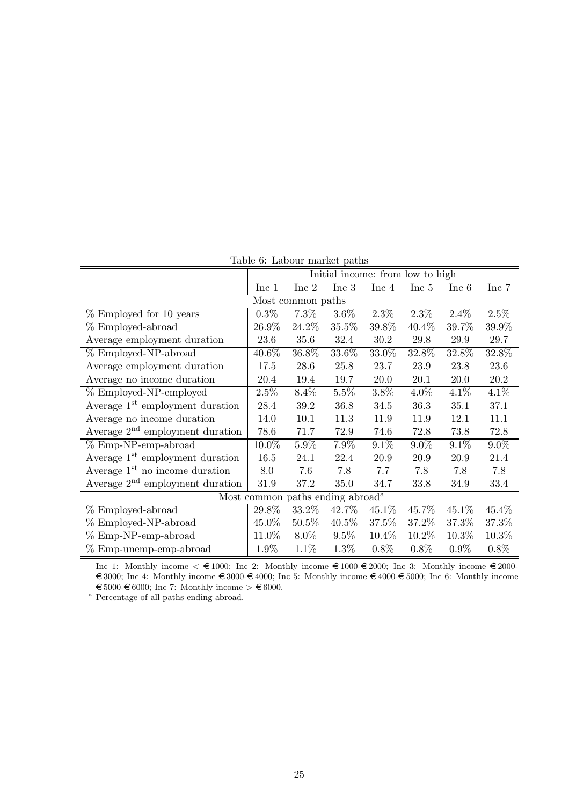| Table 6: Labour market paths                 |         |                   |          |          |                                  |          |          |  |
|----------------------------------------------|---------|-------------------|----------|----------|----------------------------------|----------|----------|--|
|                                              |         |                   |          |          | Initial income: from low to high |          |          |  |
|                                              | Inc 1   | Inc 2             | Inc 3    | Inc 4    | Inc 5                            | Inc 6    | Inc 7    |  |
|                                              |         | Most common paths |          |          |                                  |          |          |  |
| % Employed for 10 years                      | $0.3\%$ | $7.3\%$           | $3.6\%$  | $2.3\%$  | $2.3\%$                          | $2.4\%$  | $2.5\%$  |  |
| % Employed-abroad                            | 26.9%   | 24.2%             | 35.5%    | 39.8%    | 40.4%                            | 39.7%    | 39.9%    |  |
| Average employment duration                  | 23.6    | 35.6              | 32.4     | 30.2     | 29.8                             | $29.9\,$ | 29.7     |  |
| % Employed-NP-abroad                         | 40.6%   | 36.8%             | 33.6%    | 33.0%    | 32.8%                            | 32.8%    | 32.8%    |  |
| Average employment duration                  | 17.5    | $28.6\,$          | 25.8     | 23.7     | 23.9                             | 23.8     | $23.6\,$ |  |
| Average no income duration                   | 20.4    | 19.4              | 19.7     | $20.0\,$ | 20.1                             | $20.0\,$ | $20.2\,$ |  |
| % Employed-NP-employed                       | 2.5%    | 8.4%              | 5.5%     | 3.8%     | 4.0%                             | 4.1%     | 4.1%     |  |
| Average 1 <sup>st</sup> employment duration  | 28.4    | $39.2\,$          | 36.8     | 34.5     | 36.3                             | 35.1     | 37.1     |  |
| Average no income duration                   | 14.0    | 10.1              | 11.3     | 11.9     | 11.9                             | 12.1     | 11.1     |  |
| Average 2 <sup>nd</sup> employment duration  | 78.6    | 71.7              | 72.9     | 74.6     | 72.8                             | 73.8     | 72.8     |  |
| % Emp-NP-emp-abroad                          | 10.0%   | 5.9%              | 7.9%     | $9.1\%$  | $9.0\%$                          | $9.1\%$  | $9.0\%$  |  |
| Average 1 <sup>st</sup> employment duration  | 16.5    | 24.1              | 22.4     | 20.9     | 20.9                             | $20.9\,$ | 21.4     |  |
| Average 1 <sup>st</sup> no income duration   | 8.0     | 7.6               | 7.8      | 7.7      | 7.8                              | 7.8      | 7.8      |  |
| Average $2nd$ employment duration            | 31.9    | 37.2              | 35.0     | 34.7     | 33.8                             | 34.9     | 33.4     |  |
| Most common paths ending abroad <sup>a</sup> |         |                   |          |          |                                  |          |          |  |
| % Employed-abroad                            | 29.8%   | 33.2%             | 42.7%    | 45.1\%   | 45.7%                            | 45.1\%   | 45.4%    |  |
| % Employed-NP-abroad                         | 45.0%   | 50.5%             | $40.5\%$ | 37.5%    | 37.2%                            | 37.3%    | 37.3%    |  |
| $% Emp-NP-emp-abroad$                        | 11.0%   | $8.0\%$           | $9.5\%$  | 10.4%    | 10.2%                            | 10.3%    | 10.3%    |  |
| % Emp-unemp-emp-abroad                       | 1.9%    | $1.1\%$           | 1.3%     | $0.8\%$  | $0.8\%$                          | $0.9\%$  | $0.8\%$  |  |

 $T$ able  $\theta$ : Labour market paths

Inc 1: Monthly income  $\leq \text{\textsterling}1000$ ; Inc 2: Monthly income  $\text{\textsterling}1000\text{-}\text{\textsterling}2000$ ; Inc 3: Monthly income  $\text{\textsterling}2000$ - $\epsilon \leq 3000$ ; Inc 4: Monthly income  $\epsilon \leq 3000-\epsilon 4000$ ; Inc 5: Monthly income  $\epsilon 4000-\epsilon 5000$ ; Inc 6: Monthly income  $\text{\large $\in$}5000\text{-}{\large $\in$}6000;$  Inc $\text{\large $7:}$$  Monthly income  $\text{\large $\gt$} \text{\large $\in$}6000.$ 

<sup>a</sup> Percentage of all paths ending abroad.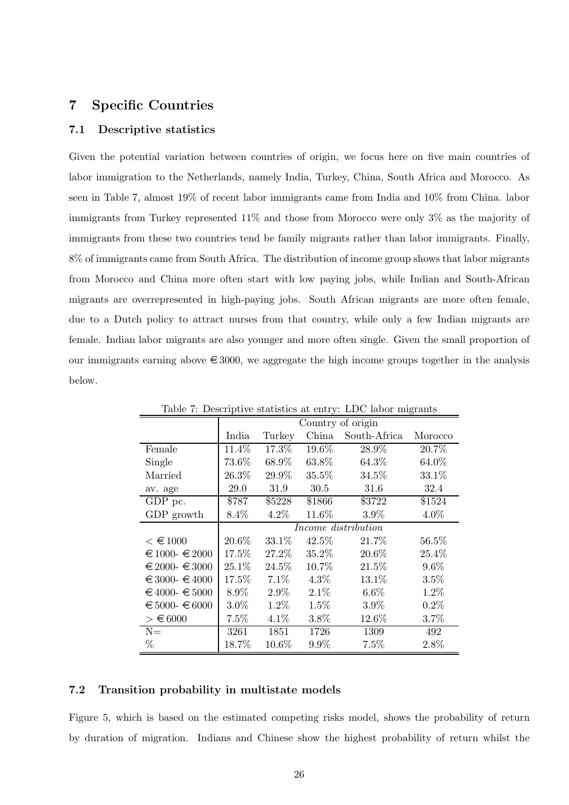# 7 Specific Countries

#### 7.1 Descriptive statistics

Given the potential variation between countries of origin, we focus here on five main countries of labor immigration to the Netherlands, namely India, Turkey, China, South Africa and Morocco. As seen in Table 7, almost 19% of recent labor immigrants came from India and 10% from China. labor immigrants from Turkey represented 11% and those from Morocco were only 3% as the majority of immigrants from these two countries tend be family migrants rather than labor immigrants. Finally, 8% of immigrants came from South Africa. The distribution of income group shows that labor migrants from Morocco and China more often start with low paying jobs, while Indian and South-African migrants are overrepresented in high-paying jobs. South African migrants are more often female, due to a Dutch policy to attract nurses from that country, while only a few Indian migrants are female. Indian labor migrants are also younger and more often single. Given the small proportion of our immigrants earning above  $\epsilon$  3000, we aggregate the high income groups together in the analysis below.

|                        | o- ----<br>Country of origin |          |          |              |          |  |  |  |
|------------------------|------------------------------|----------|----------|--------------|----------|--|--|--|
|                        | India                        | Turkey   | China    | South-Africa | Morocco  |  |  |  |
| Female                 | 11.4%                        | $17.3\%$ | 19.6%    | 28.9%        | 20.7%    |  |  |  |
| Single                 | 73.6%                        | 68.9%    | 63.8%    | 64.3%        | 64.0%    |  |  |  |
| Married                | 26.3%                        | 29.9%    | 35.5%    | 34.5%        | 33.1%    |  |  |  |
| av. age                | 29.0                         | 31.9     | 30.5     | 31.6         | 32.4     |  |  |  |
| GDP pc.                | \$787                        | \$5228   | \$1866   | \$3722       | \$1524   |  |  |  |
| ${\rm GDP}$ growth     | 8.4%                         | 4.2%     | 11.6%    | 3.9%         | 4.0%     |  |  |  |
|                        | Income distribution          |          |          |              |          |  |  |  |
| $<$ € 1000             | 20.6%                        | 33.1%    | $42.5\%$ | 21.7%        | 56.5%    |  |  |  |
| $\in 1000 - 2000$      | 17.5%                        | 27.2%    | 35.2%    | 20.6%        | $25.4\%$ |  |  |  |
| $\in 2000 - \in 3000$  | 25.1%                        | 24.5%    | 10.7%    | 21.5%        | $9.6\%$  |  |  |  |
| $\in$ 3000- $\in$ 4000 | 17.5%                        | 7.1%     | $4.3\%$  | 13.1%        | 3.5%     |  |  |  |
| $€4000 - €5000$        | 8.9%                         | 2.9%     | 2.1%     | $6.6\%$      | 1.2%     |  |  |  |
| $€ 5000 - € 6000$      | $3.0\%$                      | 1.2%     | 1.5%     | 3.9%         | 0.2%     |  |  |  |
| $\geq \epsilon$ 6000   | 7.5%                         | $4.1\%$  | 3.8%     | 12.6%        | 3.7%     |  |  |  |
| $N =$                  | 3261                         | 1851     | 1726     | 1309         | 492      |  |  |  |
| %                      | 18.7%                        | 10.6%    | 9.9%     | 7.5%         | 2.8%     |  |  |  |

Table 7: Descriptive statistics at entry: LDC labor migrants

#### 7.2 Transition probability in multistate models

Figure 5, which is based on the estimated competing risks model, shows the probability of return by duration of migration. Indians and Chinese show the highest probability of return whilst the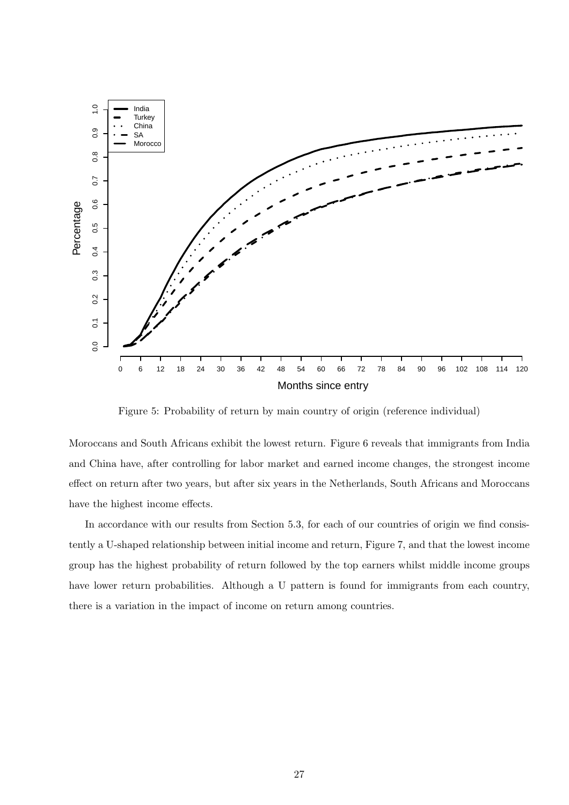

Figure 5: Probability of return by main country of origin (reference individual)

Moroccans and South Africans exhibit the lowest return. Figure 6 reveals that immigrants from India and China have, after controlling for labor market and earned income changes, the strongest income effect on return after two years, but after six years in the Netherlands, South Africans and Moroccans have the highest income effects.

In accordance with our results from Section 5.3, for each of our countries of origin we find consistently a U-shaped relationship between initial income and return, Figure 7, and that the lowest income group has the highest probability of return followed by the top earners whilst middle income groups have lower return probabilities. Although a U pattern is found for immigrants from each country, there is a variation in the impact of income on return among countries.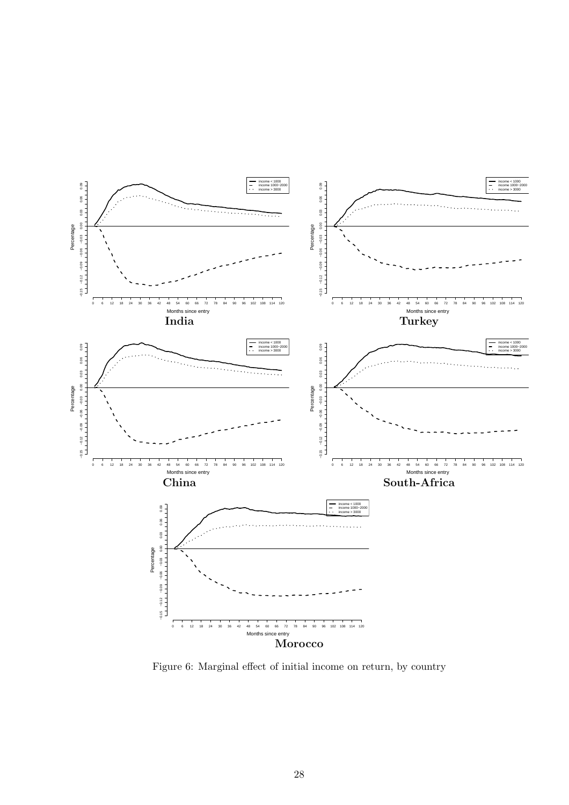

Figure 6: Marginal effect of initial income on return, by country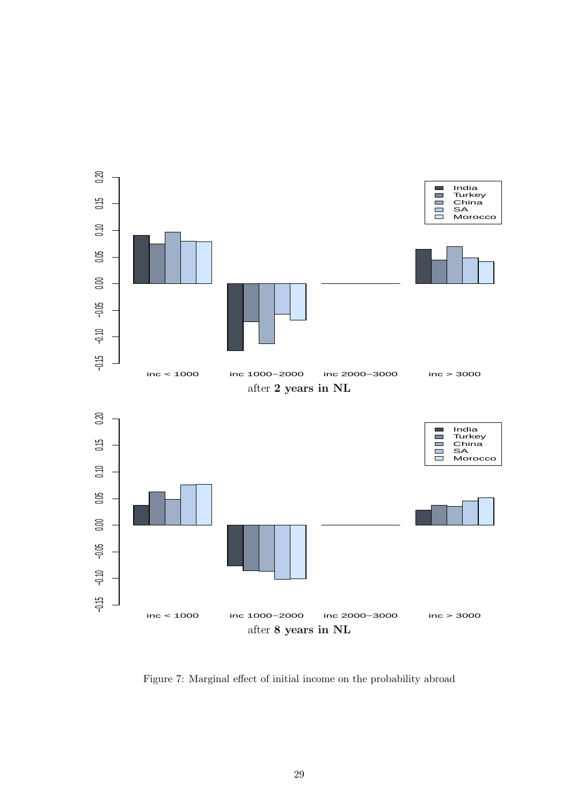

Figure 7: Marginal effect of initial income on the probability abroad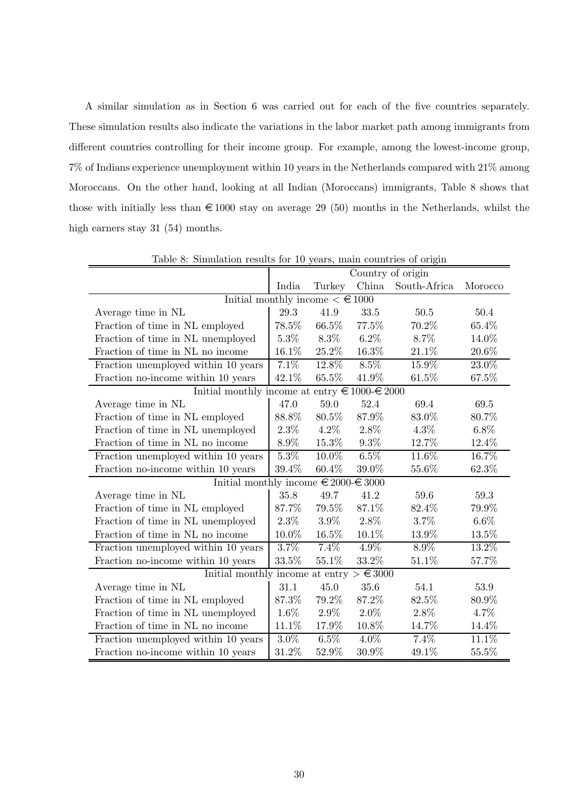A similar simulation as in Section 6 was carried out for each of the five countries separately. These simulation results also indicate the variations in the labor market path among immigrants from different countries controlling for their income group. For example, among the lowest-income group, 7% of Indians experience unemployment within 10 years in the Netherlands compared with 21% among Moroccans. On the other hand, looking at all Indian (Moroccans) immigrants, Table 8 shows that those with initially less than  $\in$  1000 stay on average 29 (50) months in the Netherlands, whilst the high earners stay 31 (54) months.

|                                                        |         |         |                 | Country of origin |          |
|--------------------------------------------------------|---------|---------|-----------------|-------------------|----------|
|                                                        | India   | Turkey  | China           | South-Africa      | Morocco  |
| Initial monthly income $\lt \text{\textsterling} 1000$ |         |         |                 |                   |          |
| Average time in NL                                     | 29.3    | 41.9    | 33.5            | 50.5              | 50.4     |
| Fraction of time in NL employed                        | 78.5%   | 66.5%   | 77.5%           | 70.2%             | 65.4%    |
| Fraction of time in NL unemployed                      | 5.3%    | 8.3%    | $6.2\%$         | 8.7%              | 14.0%    |
| Fraction of time in NL no income                       | 16.1%   | 25.2%   | $16.3\%$        | 21.1%             | $20.6\%$ |
| Fraction unemployed within 10 years                    | 7.1%    | 12.8%   | $8.5\%$         | 15.9%             | 23.0%    |
| Fraction no-income within 10 years                     | 42.1%   | 65.5%   | 41.9%           | 61.5%             | 67.5%    |
| Initial monthly income at entry $\in 1000 - 2000$      |         |         |                 |                   |          |
| Average time in NL                                     | 47.0    | 59.0    | 52.4            | 69.4              | 69.5     |
| Fraction of time in NL employed                        | 88.8%   | 80.5%   | 87.9%           | 83.0%             | 80.7%    |
| Fraction of time in NL unemployed                      | $2.3\%$ | 4.2%    | 2.8%            | $4.3\%$           | $6.8\%$  |
| Fraction of time in NL no income                       | $8.9\%$ | 15.3%   | $9.3\%$         | 12.7%             | 12.4%    |
| Fraction unemployed within 10 years                    | $5.3\%$ | 10.0%   | $6.5\%$         | 11.6%             | 16.7%    |
| Fraction no-income within 10 years                     | 39.4%   | 60.4%   | 39.0%           | 55.6%             | 62.3%    |
| Initial monthly income $\in 2000 - 63000$              |         |         |                 |                   |          |
| Average time in NL                                     | 35.8    | 49.7    | 41.2            | 59.6              | 59.3     |
| Fraction of time in NL employed                        | 87.7%   | 79.5%   | 87.1%           | 82.4%             | 79.9%    |
| Fraction of time in NL unemployed                      | $2.3\%$ | 3.9%    | 2.8%            | 3.7%              | $6.6\%$  |
| Fraction of time in NL no income                       | 10.0%   | 16.5%   | 10.1%           | 13.9%             | 13.5%    |
| Fraction unemployed within 10 years                    | 3.7%    | 7.4%    | 4.9%            | $8.9\%$           | 13.2%    |
| Fraction no-income within 10 years                     | 33.5%   | 55.1%   | 33.2%           | 51.1%             | 57.7%    |
| Initial monthly income at entry $>$                    |         |         | $\epsilon$ 3000 |                   |          |
| Average time in NL                                     | 31.1    | 45.0    | 35.6            | 54.1              | 53.9     |
| Fraction of time in NL employed                        | 87.3%   | 79.2%   | 87.2%           | 82.5%             | 80.9%    |
| Fraction of time in NL unemployed                      | 1.6%    | 2.9%    | $2.0\%$         | 2.8%              | 4.7%     |
| Fraction of time in NL no income                       | 11.1%   | 17.9%   | 10.8%           | 14.7%             | 14.4%    |
| Fraction unemployed within 10 years                    | $3.0\%$ | $6.5\%$ | $4.0\%$         | $7.4\%$           | 11.1%    |
| Fraction no-income within 10 years                     | 31.2%   | 52.9%   | 30.9%           | 49.1%             | 55.5%    |

Table 8: Simulation results for 10 years, main countries of origin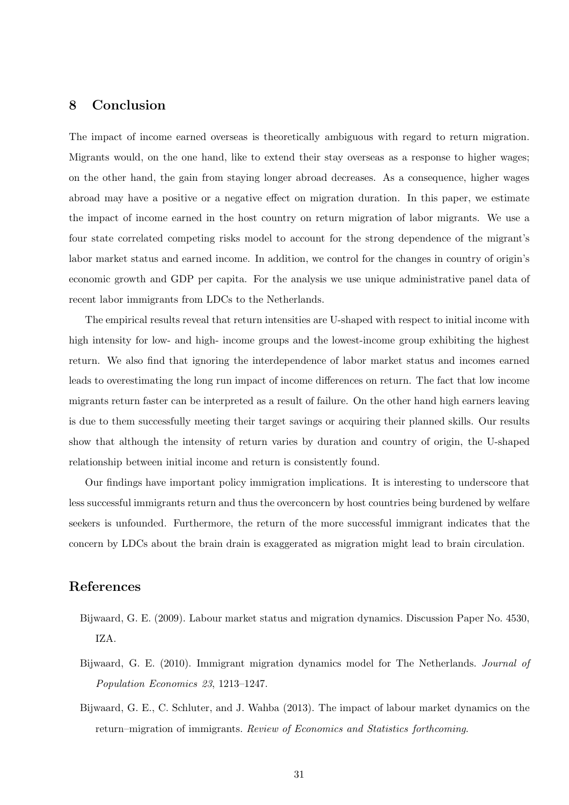# 8 Conclusion

The impact of income earned overseas is theoretically ambiguous with regard to return migration. Migrants would, on the one hand, like to extend their stay overseas as a response to higher wages; on the other hand, the gain from staying longer abroad decreases. As a consequence, higher wages abroad may have a positive or a negative effect on migration duration. In this paper, we estimate the impact of income earned in the host country on return migration of labor migrants. We use a four state correlated competing risks model to account for the strong dependence of the migrant's labor market status and earned income. In addition, we control for the changes in country of origin's economic growth and GDP per capita. For the analysis we use unique administrative panel data of recent labor immigrants from LDCs to the Netherlands.

The empirical results reveal that return intensities are U-shaped with respect to initial income with high intensity for low- and high- income groups and the lowest-income group exhibiting the highest return. We also find that ignoring the interdependence of labor market status and incomes earned leads to overestimating the long run impact of income differences on return. The fact that low income migrants return faster can be interpreted as a result of failure. On the other hand high earners leaving is due to them successfully meeting their target savings or acquiring their planned skills. Our results show that although the intensity of return varies by duration and country of origin, the U-shaped relationship between initial income and return is consistently found.

Our findings have important policy immigration implications. It is interesting to underscore that less successful immigrants return and thus the overconcern by host countries being burdened by welfare seekers is unfounded. Furthermore, the return of the more successful immigrant indicates that the concern by LDCs about the brain drain is exaggerated as migration might lead to brain circulation.

# References

- Bijwaard, G. E. (2009). Labour market status and migration dynamics. Discussion Paper No. 4530, IZA.
- Bijwaard, G. E. (2010). Immigrant migration dynamics model for The Netherlands. Journal of Population Economics 23, 1213–1247.
- Bijwaard, G. E., C. Schluter, and J. Wahba (2013). The impact of labour market dynamics on the return–migration of immigrants. Review of Economics and Statistics forthcoming.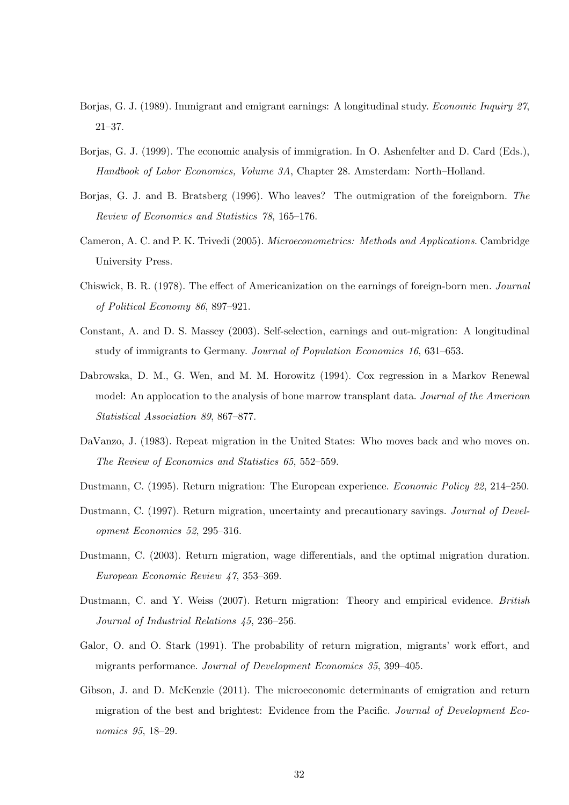- Borjas, G. J. (1989). Immigrant and emigrant earnings: A longitudinal study. *Economic Inquiry 27*, 21–37.
- Borjas, G. J. (1999). The economic analysis of immigration. In O. Ashenfelter and D. Card (Eds.), Handbook of Labor Economics, Volume 3A, Chapter 28. Amsterdam: North–Holland.
- Borjas, G. J. and B. Bratsberg (1996). Who leaves? The outmigration of the foreignborn. The Review of Economics and Statistics 78, 165–176.
- Cameron, A. C. and P. K. Trivedi (2005). Microeconometrics: Methods and Applications. Cambridge University Press.
- Chiswick, B. R. (1978). The effect of Americanization on the earnings of foreign-born men. Journal of Political Economy 86, 897–921.
- Constant, A. and D. S. Massey (2003). Self-selection, earnings and out-migration: A longitudinal study of immigrants to Germany. Journal of Population Economics 16, 631–653.
- Dabrowska, D. M., G. Wen, and M. M. Horowitz (1994). Cox regression in a Markov Renewal model: An applocation to the analysis of bone marrow transplant data. Journal of the American Statistical Association 89, 867–877.
- DaVanzo, J. (1983). Repeat migration in the United States: Who moves back and who moves on. The Review of Economics and Statistics 65, 552–559.
- Dustmann, C. (1995). Return migration: The European experience. Economic Policy 22, 214–250.
- Dustmann, C. (1997). Return migration, uncertainty and precautionary savings. Journal of Development Economics 52, 295–316.
- Dustmann, C. (2003). Return migration, wage differentials, and the optimal migration duration. European Economic Review 47, 353–369.
- Dustmann, C. and Y. Weiss (2007). Return migration: Theory and empirical evidence. British Journal of Industrial Relations 45, 236–256.
- Galor, O. and O. Stark (1991). The probability of return migration, migrants' work effort, and migrants performance. Journal of Development Economics 35, 399–405.
- Gibson, J. and D. McKenzie (2011). The microeconomic determinants of emigration and return migration of the best and brightest: Evidence from the Pacific. Journal of Development Economics 95, 18–29.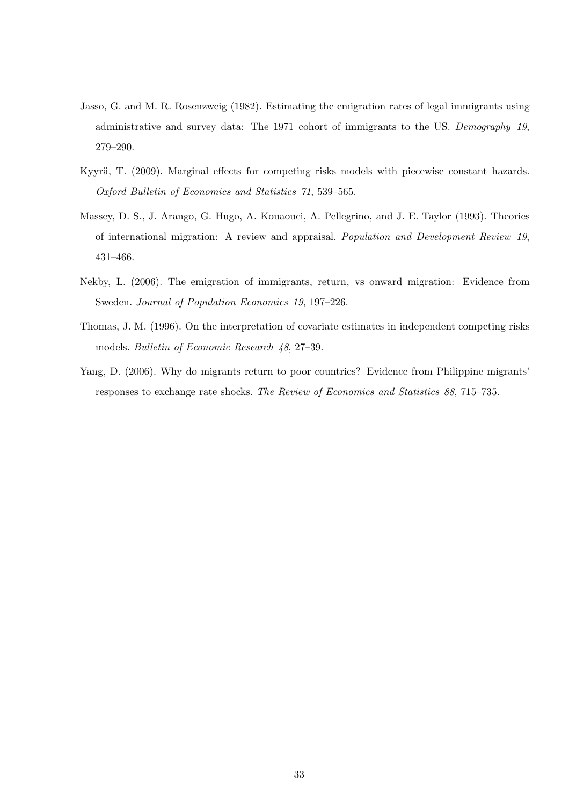- Jasso, G. and M. R. Rosenzweig (1982). Estimating the emigration rates of legal immigrants using administrative and survey data: The 1971 cohort of immigrants to the US. Demography 19, 279–290.
- Kyyrä, T. (2009). Marginal effects for competing risks models with piecewise constant hazards. Oxford Bulletin of Economics and Statistics 71, 539–565.
- Massey, D. S., J. Arango, G. Hugo, A. Kouaouci, A. Pellegrino, and J. E. Taylor (1993). Theories of international migration: A review and appraisal. Population and Development Review 19, 431–466.
- Nekby, L. (2006). The emigration of immigrants, return, vs onward migration: Evidence from Sweden. Journal of Population Economics 19, 197–226.
- Thomas, J. M. (1996). On the interpretation of covariate estimates in independent competing risks models. Bulletin of Economic Research 48, 27–39.
- Yang, D. (2006). Why do migrants return to poor countries? Evidence from Philippine migrants' responses to exchange rate shocks. The Review of Economics and Statistics 88, 715–735.